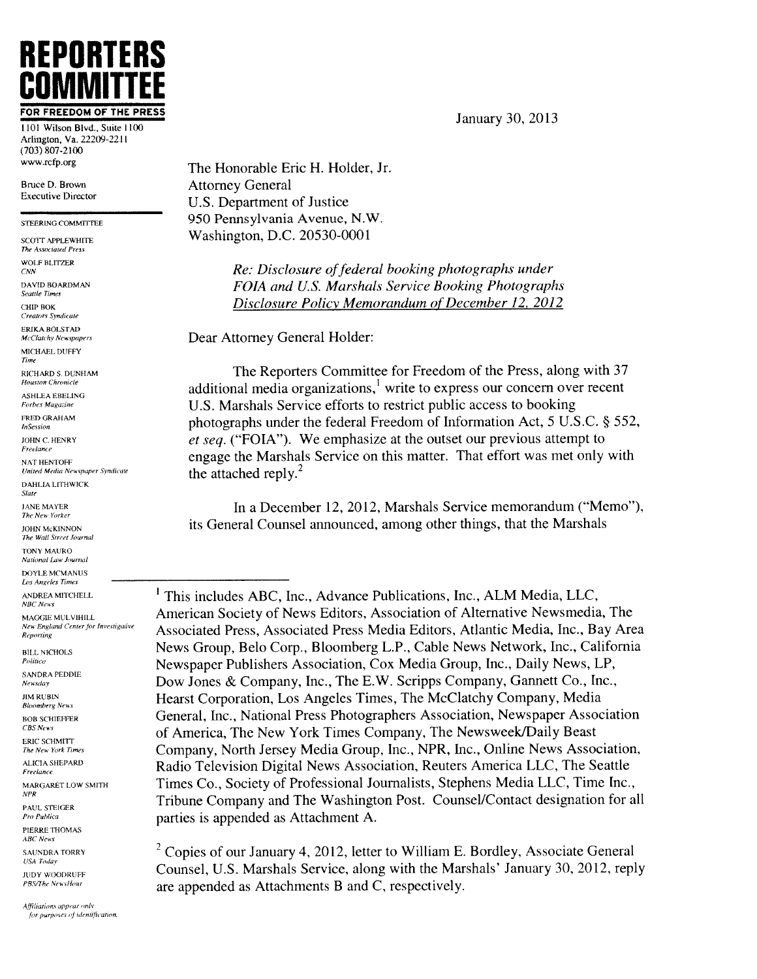## REPORTERS COMMITTEE FOR FREEDOM OF THE PRESS **COMMITTI**<br> **COMMITTI**<br>
Arlington, Va. 22209-2211<br>
Arrington, Va. 22209-2211

 $(703)$   $807 - 2100$ www.rcfp.org

Bruce D. Brown Executive Director

STEERING COMMITTEE

SCOTT APPLEWHITE<br>The Associated Press WOLF BLITZER DAVID BOARDMAN<br>Seattle Times CHIP BOK Creators Syndicate ERIKA BOLSTAD McClatchy Newspapers MICHAEL DUFFY Time R1CH ARD S. DUNHAM Houston Chronicle ASHLEA EBELING Forbes Magazine FRED GRAHAM<br>InSession JOHN C. hENRY Freelance NAT HENTOFF United Media Newspaper Syndicate

DAHLIA LITHWICK Slate

**JANE MAYER** The New Yorker

JOHN McKINNON The Wall Street Journal

TONY MAURO

National Law Journal DOYLE MCMANUS

Los Angeles Times

ANDREA MITCHELL NBC News

MAGGIE MULVIHILL<br>New England Center for Investigative

Reporting BILL NICHOLS Politico SANDRA PEDDlE Newsday **JIM RUBIN**<br>Bloomberg News BOB SCHIEFFER CBS News ERIC SCHMITT The New York Times

ALICIA SHEPARO Freelance

MARGARET LOW SMITH APR PAUL STEIGER

Pro Publica PIERRE THOMAS

**ABC** News

**SAUNDRA TORRY USA Today** 

JUDY WOODRUFF<br>PBS/The NewsHour

Affiliations appear only for purposes of identification The Honorable Eric H. Holder, Jr. Attorney General U.S. Department of Justice 950 Pennsylvania Avenue. N.W. Washington. D.C.. 20530-0001

> Re: Disclosure of federal booking photographs under FOIA and U.S. Marshals Service Booking Photographs Disclosure Policy Memorandum of December 12, 2012

Dear Attorney General Holder:

The Reporters Committee for Freedom of the Press, along with 37 additional media organizations,' write to express our concern over recent U.S. Marshals Service efforts to restrict public access to booking photographs under the federal Freedom of Information Act, <sup>5</sup> U.S.C. § 552. et seq. ("FOIA"). We emphasize at the outset our previous attempt to engage the Marshals Service on this matter. That effort was met only with the attached reply. $^{2}$ 

In a December 12, 2012, Marshals Service memorandum ("Memo"), its General Counsel announced, among other things, that the Marshals

'This includes ABC, Inc., Advance Publications, Inc., ALM Media, LLC, American Society of News Editors, Association of Alternative Newsmedia, The Associated Press, Associated Press Media Editors. Atlantic Media. Inc., Bay Area News Group, Belo Corp.. Bloomberg L.P., Cable News Network. Inc., California Newspaper Publishers Association. Cox Media Group, Inc., Daily News, LP, Dow Jones & Company, Inc., The E.W. Scripps Company, Gannett Co.. Inc., Hearst Corporation. Los Angeles Times. The McClatchy Company. Media General, Inc., National Press Photographers Association, Newspaper Association of America, The New York Times Company, The Newsweek/Daily Beast Company, North Jersey Media Group, Inc., NPR, Inc., Online News Association, Radio Television Digital News Association, Reuters America LLC, The Seattle Times Co., Society of Professional Journalists, Stephens Media LLC, Time Inc., Tribune Company and The Washington Post. Counsel/Contact designation for all parties is appended as Attachment A.

<sup>2</sup> Copies of our January 4, 2012, letter to William E. Bordley, Associate General Counsel, U.S. Marshals Service, along with the Marshals' January 30. 2012. reply are appended as Attachments B and C, respectively.

January 30, 2013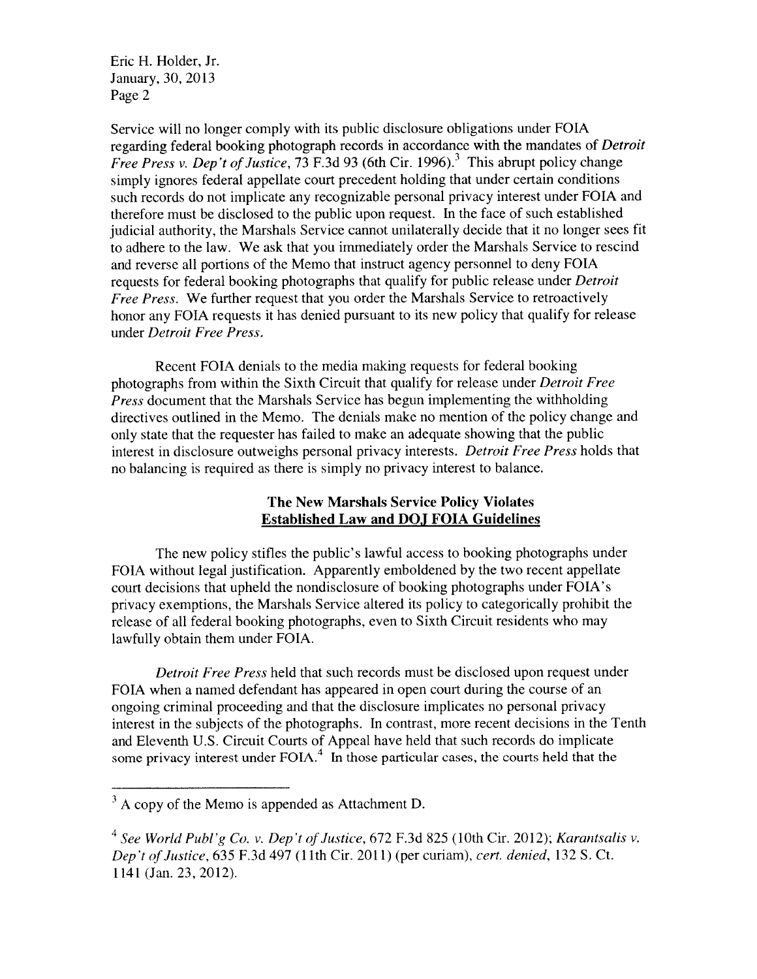Eric H. Holder, Jr. January, 30, 2013 Page 2

Service will no longer comply with its public disclosure obligations under FOIA regarding federal hooking photograph records in accordance with the mandates of Detroit Free Press v. Dep't of Justice. 73 F.3d 93 (6th Cir. 1996).<sup>3</sup> This abrupt policy change simply ignores federal appellate court precedent holding that under certain conditions such records do not implicate any recognizable personal privacy interest under FOIA and therefore must be disclosed to the public upon request. In the face of such established judicial authority, the Marshals Service cannot unilaterally decide that it no longer sees fit to adhere to the law. We ask that you immediately order the Marshals Service to rescind and reverse all portions of the Memo that instruct agency personnel to deny FOTA requests for federal hooking photographs that qualify for public release under Detroit Free Press. We further request that you order the Marshals Service to retroactively honor any FOIA requests it has denied pursuant to its new policy that qualify for release under Detroit Free Press.

Recent FOTA denials to the media making requests for federal booking photographs from within the Sixth Circuit that qualify for release under Detroit Free *Press* document that the Marshals Service has begun implementing the withholding directives outlined in the Memo. The denials make no mention of the policy change and only state that the requester has failed to make an adequate showing that the public interest in disclosure outweighs personal privacy interests. Detroit Free Press holds that no balancing is required as there is simply no privacy interest to balance.

## The New Marshals Service Policy Violates Established Law and DOJ FOIA Guidelines

The new policy stifles the public's lawful access to booking photographs under FOIA without legal justification, Apparently emboldened by the two recent appellate court decisions that upheld the nondisclosure of booking photographs under FOIA's privacy exemptions. the Marshals Service altered its policy to categorically prohibit the release of all federal booking photographs, even to Sixth Circuit residents who may lawfully obtain them under FOIA.

Detroit Free Press held that such records must be disclosed upon request under FOIA when a named defendant has appeared in open court during the course of an ongoing criminal proceeding and that the disclosure implicates no personal privacy interest in the subjects of the photographs. In contrast, more recent decisions in the Tenth and Eleventh U.S. Circuit Courts of Appeal have held that such records do implicate some privacy interest under  $FOLA<sup>4</sup>$ . In those particular cases, the courts held that the

 $3$  A copy of the Memo is appended as Attachment D.

<sup>&</sup>lt;sup>4</sup> See World Publ'g Co. v. Dep't of Justice, 672 F.3d 825 (10th Cir. 2012); Karantsalis v. Dep't of Justice, 635 F.3d 497 (11th Cir. 2011) (per curiam), cert. denied, 132 S. Ct. 1141 (Jan. 23. 2012).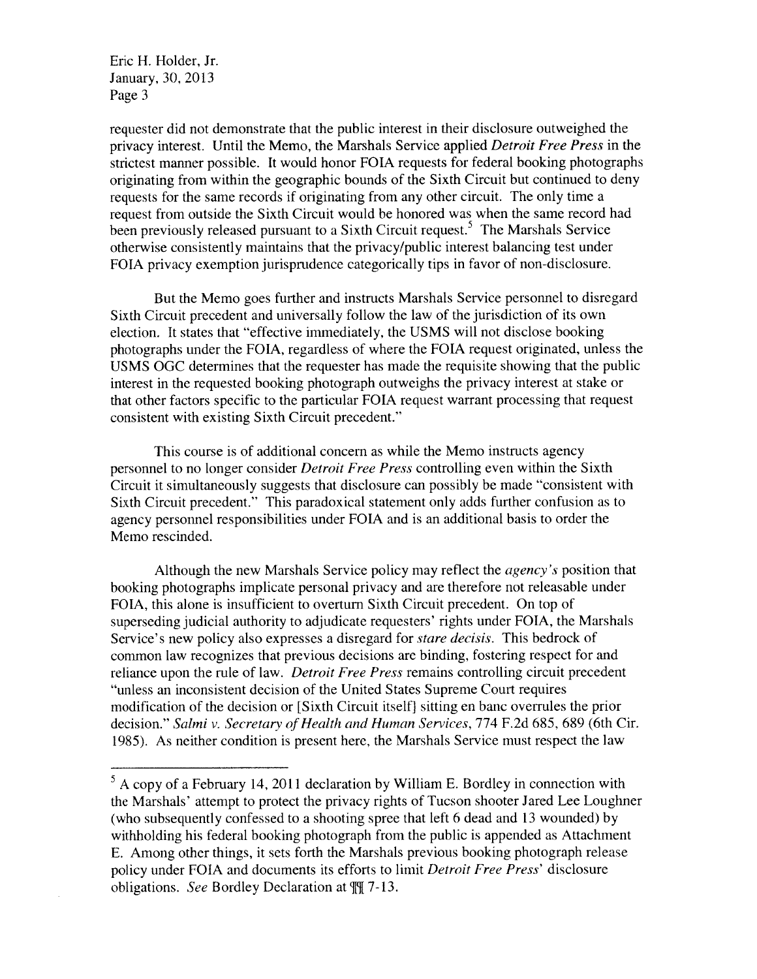Eric H. Holder. Jr. January. 30. 2013 Page <sup>3</sup>

requester did not demonstrate that the public interest in their disclosure outweighed the privacy interest. Until the Memo. the Marshals Service applied Detroit Free Press in the strictest manner possible. It would honor FOIA requests for federal booking photographs originating from within the geographic bounds of the Sixth Circuit but continued to deny requests for the same records if originating from any other circuit. The only time a request from outside the Sixth Circuit would be honored was when the same record had been previously released pursuant to a Sixth Circuit request.<sup>5</sup> The Marshals Service otherwise consistently maintains that the privacy/public interest balancing test under FOTA privacy exemption jurisprudence categorically tips in favor of non-disclosure.

But the Memo goes further and instructs Marshals Service personnel to disregard Sixth Circuit precedent and universally follow the law of the jurisdiction of its own election. It states that "effective immediately, the USMS will not disclose booking photographs under the FOIA, regardless of where the FOIA request originated, unless the USMS OGC determines that the requester has made the requisite showing that the public interest in the requested booking photograph outweighs the privacy interest at stake or that other factors specific to the particular FOIA request warrant processing that request consistent with existing Sixth Circuit precedent."

This course is of additional concern as while the Memo instructs agency personnel to no longer consider Detroit Free Press controlling even within the Sixth Circuit it simultaneously suggests that disclosure can possibly he made "consistent with Sixth Circuit precedent." This paradoxical statement oniy adds further confusion as to agency personnel responsibilities under FOIA and is an additional basis to order the Memo rescinded.

Although the new Marshals Service policy may reflect the *agency's* position that booking photographs implicate personal privacy and are therefore not releasable under FOIA, this alone is insufficient to overturn Sixth Circuit precedent. On top of superseding judicial authority to adjudicate requesters' rights under FOIA, the Marshals Service's new policy also expresses a disregard for stare decisis. This bedrock of common law recognizes that previous decisions are binding, fostering respect for and reliance upon the rule of law. *Detroit Free Press* remains controlling circuit precedent "unless an inconsistent decision of the United States Supreme Court requires modification of the decision or [Sixth Circuit itselfj sitting en hanc overrules the prior decision." Salmi v. Secretary of Health and Human Services, 774 F.2d 685, 689 (6th Cir. 1985). As neither condition is present here, the Marshals Service must respect the law

 $5$  A copy of a February 14, 2011 declaration by William E. Bordley in connection with the Marshals' attempt to protect the privacy rights of Tucson shooter Jared Lee Loughner (who subsequently confessed to a shooting spree that left 6 dead and 13 wounded) by withholding his federal booking photograph from the public is appended as Attachment E. Among other things, it sets forth the Marshals previous hooking photograph release policy under FOIA and documents its efforts to limit *Detroit Free Press'* disclosure obligations. See Bordley Declaration at  $\mathbb{N}$  7-13.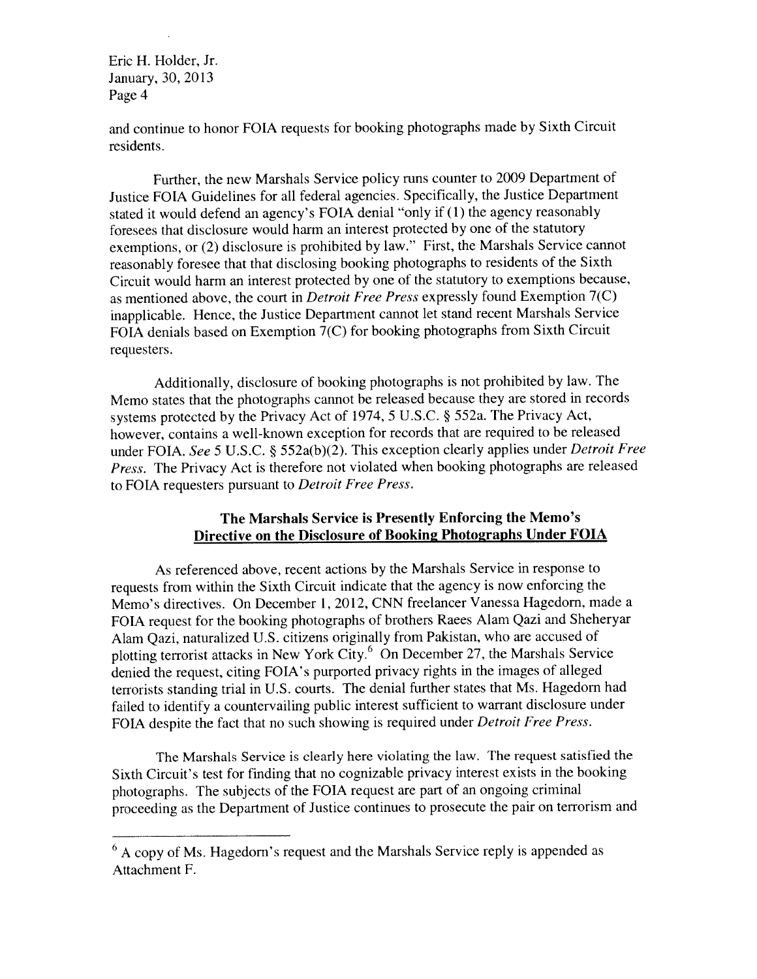### Eric H. Holder, Jr. January. 30. 2013 Page 4

and continue to honor FOTA requests for booking <sup>p</sup>hotographs made by Sixth Circuit residents.

Further, the new Marshals Service policy runs counter to 2009 Department of Justice FOIA Guidelines for all federal agencies. Specifically, the Justice Department stated it would defend an agency's FOJA denial "only if (1) the agency reasonably foresees that disclosure would harm an interest protected by one of the statutory exemptions, or (2) disclosure is prohibited by law." First, the Marshals Service cannot reasonably foresee that that disclosing booking <sup>p</sup>hotographs to residents of the Sixth Circuit would harm an interest protected by one of the statutory to exemptions because. as mentioned above, the court in Detroit Free Press expressly found Exemption 7(C) inapplicable. Hence. the Justice Department cannot let stand recent Marshals Service FOJA denials based on Exemption 7(C) for booking <sup>p</sup>hotographs from Sixth Circuit requesters.

Additionally, disclosure of booking <sup>p</sup>hotographs is not prohibited by law. The Memo states that the <sup>p</sup>hotographs cannot be released because they are stored in records systems protected by the Privacy Act of 1974, <sup>5</sup> U.S.C. § 552a. The Privacy Act, however, contains <sup>a</sup> well-known exception for records that are required to be released under FOIA. See 5 U.S.C. § 552a(b)(2). This exception clearly applies under *Detroit Free* Press. The Privacy Act is therefore not violated when booking <sup>p</sup>hotographs are released to FOIA requesters pursuan<sup>t</sup> to Detroit Free Press.

## The Marshals Service is Presently Enforcing the Memo's Directive on the Disclosure of Booking Photographs Under FOIA

As referenced above, recent actions by the Marshals Service in response to requests from within the Sixth Circuit indicate that the agency is now enforcing the Memo's directives. On December 1, 2012, CNN freelancer Vanessa Hagedom, made <sup>a</sup> FOTA reques<sup>t</sup> for the booking <sup>p</sup>hotographs of brothers Races Alam Qazi and Sheheryar Alam Qazi. naturalized U.S. citizens originally from Pakistan, who are accused of plotting terrorist attacks in New York City.<sup>6</sup> On December 27, the Marshals Service denied the request, citing FOIA's purported privacy rights in the images of alleged terrorists standing trial in U.S. courts. The denial further states that Ms. Hagedorn had failed to identify <sup>a</sup> countervailing public interest sufficient to warrant disclosure under FOIA despite the fact that no such showing is required under *Detroit Free Press*.

The Marshals Service is clearly here violating the law. The reques<sup>t</sup> satisfied the Sixth Circuit's test for finding that no cognizable privacy interest exists in the booking <sup>p</sup>hotographs. The subjects of the FOIA reques<sup>t</sup> are par<sup>t</sup> of an ongoing criminal proceeding as the Department of Justice continues to prosecute the pair on terrorism and

 $6$  A copy of Ms. Hagedorn's request and the Marshals Service reply is appended as Attachment F.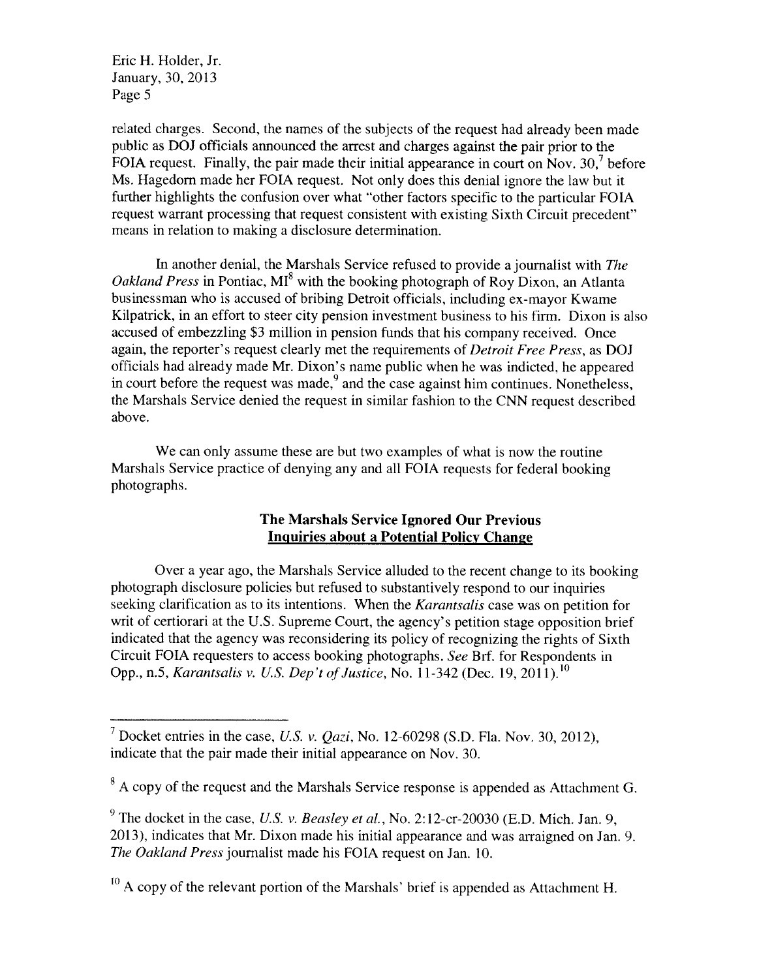Eric H. Holder, Jr. January, 30, 2013 Page 5

related charges. Second, the names of the subjects of the request had already been made public as DOJ officials announced the arrest and charges against the pair prior to the FOIA request. Finally, the pair made their initial appearance in court on Nov.  $30<sup>7</sup>$  before Ms. Hagedorn made her FOIA request. Not only does this denial ignore the law but it further highlights the confusion over what "other factors specific to the particular FOIA request warrant processing that request consistent with existing Sixth Circuit precedent" means in relation to making a disclosure determination.

In another denial, the Marshals Service refused to provide a journalist with The Oakland Press in Pontiac,  $MI^8$  with the booking photograph of Roy Dixon, an Atlanta businessman who is accused of bribing Detroit officials, including ex-mayor Kwame Kilpatrick. in an effort to steer city pension investment business to his firm. Dixon is also accused of embezzling \$3 million in pension funds that his company received. Once again, the reporter's request clearly met the requirements of *Detroit Free Press*, as DOJ officials had already made Mr. Dixon's name public when he was indicted, he appeared in court before the request was made,  $9$  and the case against him continues. Nonetheless, the Marshals Service denied the request in similar fashion to the CNN request described above.

We can only assume these are but two examples of what is now the routine Marshals Service practice of denying any and all FOTA requests for federal booking photographs.

## The Marshals Service Ignored Our Previous Inquiries about a Potential Policy Change

Over a year ago, the Marshals Service alluded to the recent change to its booking photograph disclosure policies but refused to substantively respond to our inquiries seeking clarification as to its intentions. When the Karantsalis case was on petition for writ of certiorari at the U.S. Supreme Court, the agency's petition stage opposition brief indicated that the agency was reconsidering its policy of recognizing the rights of Sixth Circuit FOTA requesters to access booking photographs. See Brf. for Respondents in Opp., n.5, Karantsalis v. U.S. Dep't of Justice, No. 11-342 (Dec. 19, 2011).<sup>10</sup>

<sup>&</sup>lt;sup>7</sup> Docket entries in the case, U.S. v. Qazi, No. 12-60298 (S.D. Fla. Nov. 30, 2012), indicate that the pair made their initial appearance on Nov. 30.

<sup>&</sup>lt;sup>8</sup> A copy of the request and the Marshals Service response is appended as Attachment G.

<sup>&</sup>lt;sup>9</sup> The docket in the case, *U.S. v. Beasley et al.*, No. 2:12-cr-20030 (E.D. Mich. Jan. 9, 2013). indicates that Mr. Dixon made his initial appearance and was arraigned on Jan. 9. The Oakland Press journalist made his FOIA request on Jan. 10.

 $^{10}$  A copy of the relevant portion of the Marshals' brief is appended as Attachment H.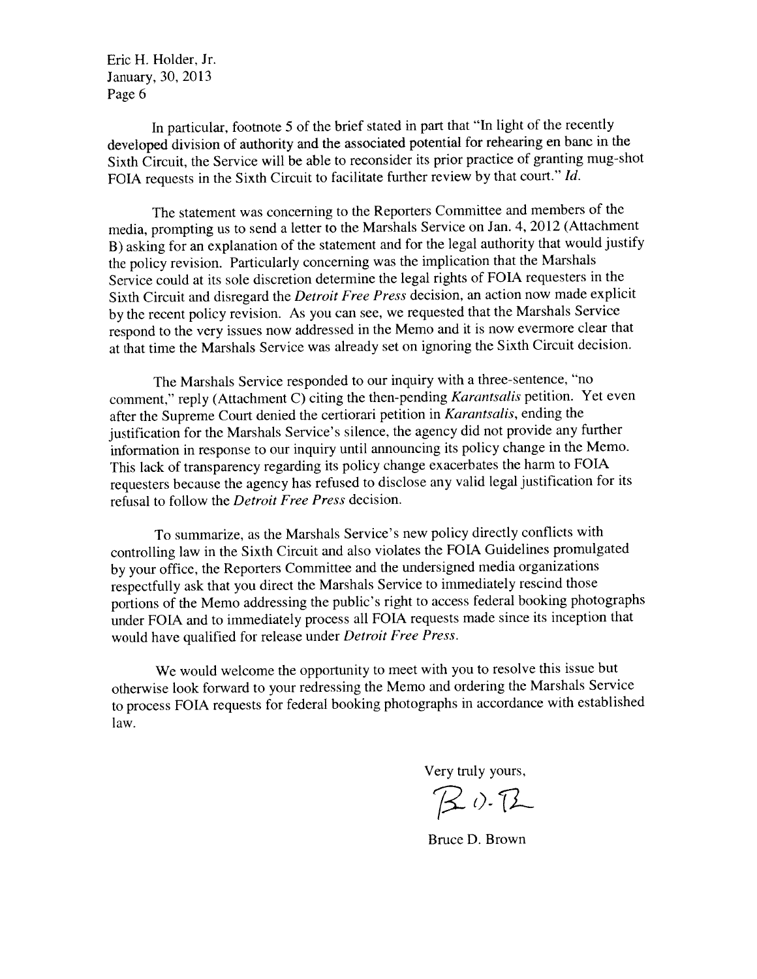Eric H. Holder. Jr. January. 30. <sup>2013</sup> Page 6

In particular, footnote <sup>5</sup> of the brief stated in par<sup>t</sup> that "In light of the recently developed division of authority and the associated potential for rehearing en bane in the Sixth Circuit, the Service will be able to reconsider its prior practice of granting mug-shot FOIA requests in the Sixth Circuit to facilitate further review by that court." Id.

The statement was concerning to the Reporters Committee and members of the media, prompting us to send <sup>a</sup> letter to the Marshals Service on Jan. 4. <sup>2012</sup> (Attachment B) asking for an explanation of the statement and for the legal authority that would justify the policy revision. Particularly concerning was the implication that the Marshals Service could at its sole discretion determine the legal rights of FOIA requesters in the Sixth Circuit and disregard the Detroit Free Press decision, an action now made explicit by the recent policy revision. As you can see, we requested that the Marshals Service respon<sup>d</sup> to the very issues now addressed in the Memo and it is now evermore clear that at that time the Marshals Service was already set on ignoring the Sixth Circuit decision.

The Marshals Service responded to our inquiry with <sup>a</sup> three-sentence, "no comment." reply (Attachment C) citing the then-pending Karantsalis petition. Yet even after the Supreme Court denied the certiorari petition in Karantsalis, ending the justification for the Marshals Service's silence, the agency did not provide any further information in response to our inquiry until announcing its policy change in the Memo. This lack of transparency regarding its policy change exacerbates the harm to FOIA requesters because the agency has refused to disclose any valid legal justification for its refusal to follow the Detroit Free Press decision.

To summarize, as the Marshals Service's new policy directly conflicts with controlling law in the Sixth Circuit and also violates the FOIA Guidelines promulgated by your office. the Reporters Committee and the undersigned media organizations respectfully ask that you direct the Marshals Service to immediately rescind those portions of the Memo addressing the public's right to access federal booking <sup>p</sup>hotographs under FOIA and to immediately process all FOIA requests made since its inception that would have qualified for release under Detroit Free Press.

We would welcome the opportunity to meet with you to resolve this issue but otherwise look forward to your redressing the Memo and ordering the Marshals Service to process FOIA requests for federal booking <sup>p</sup>hotographs in accordance with established law.

Very truly yours.

 $B$ 0. $B$ 

Bruce D. Brown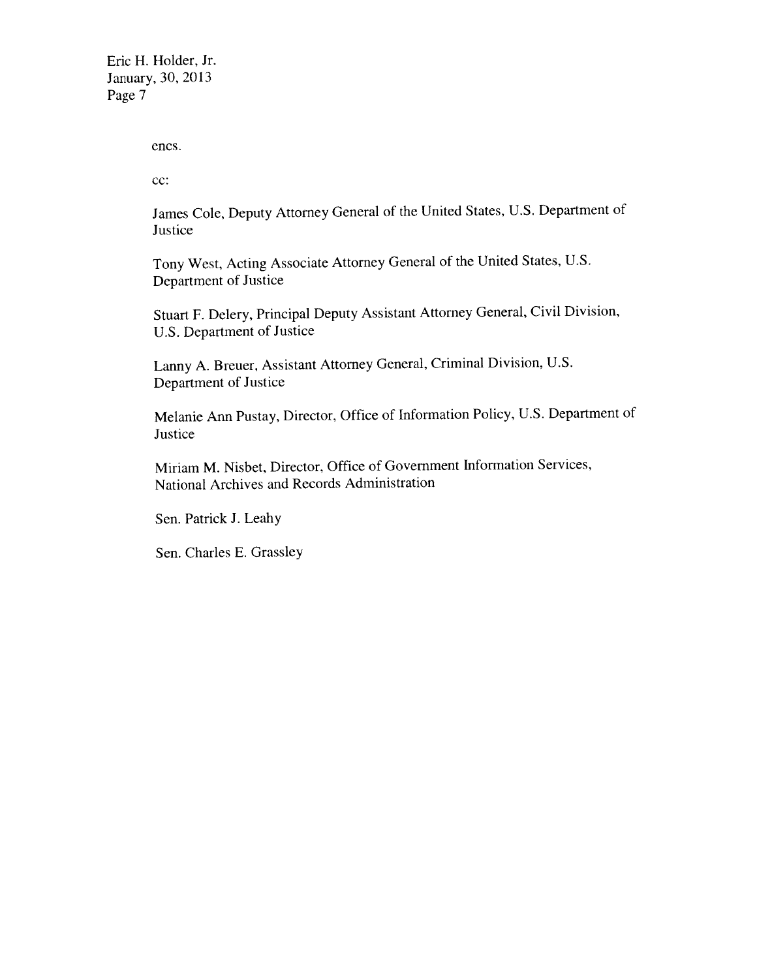Eric H. Holder. Jr. January, 30, 2013 Page 7

encs.

cc:

James Cole, Deputy Attorney General of the United States, U.S. Department of Justice

Tony West. Acting Associate Attorney General of the United States. U.S. Department of Justice

Stuart F. Delery, Principal Deputy Assistant Attorney General, Civil Division. U.S. Department of Justice

Lanny A. Breuer, Assistant Attorney General, Criminal Division. U.S. Department of Justice

Melanie Ann Pustay. Director. Office of Information Policy, U.S. Department of **Justice** 

Miriam M. Nisbet. Director. Office of Government Information Services. National Archives and Records Administration

Sen. Patrick J. Leahy

Sen. Charles E. Grassley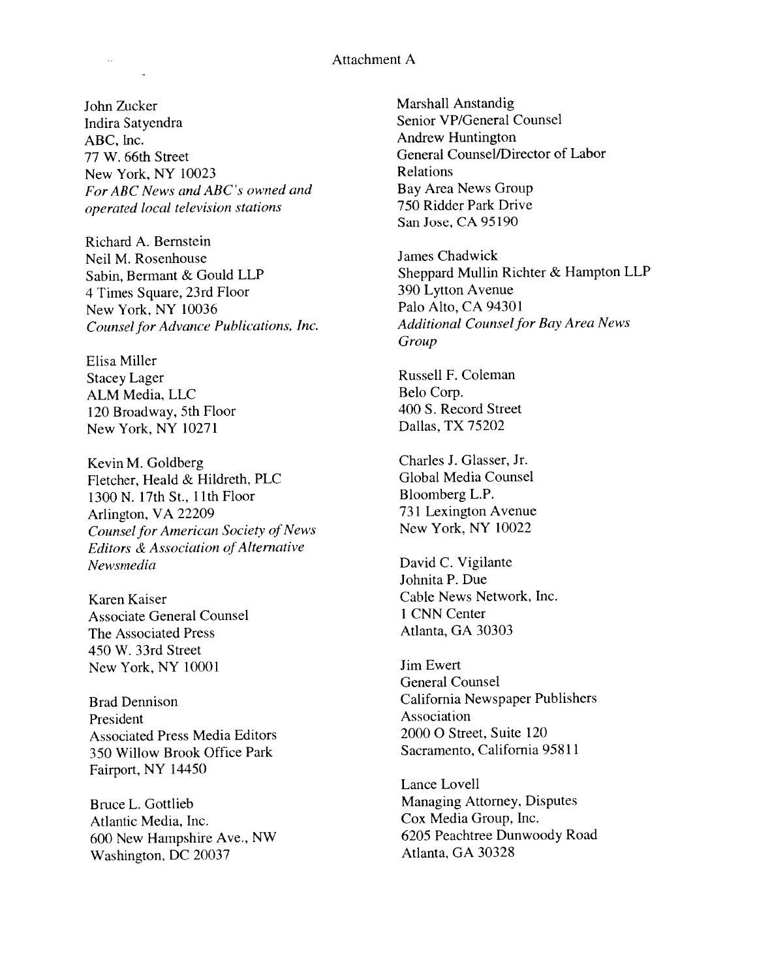### Attachment A

John Zucker Indira Satyendra ABC. Inc. 77 W. 66th Street New York, NY 10023 For ABC News and ABC's owned and operated local television stations

Richard A. Bernstein Neil M. Rosenhouse Sabin, Bermant & Gould LLP 4 Times Square, 23rd Floor New York, NY 10036 Counsel for Advance Publications, Inc.

Elisa Miller Stacey Lager ALM Media. LLC 120 Broadway, 5th Floor New York, NY 10271

Kevin M. Goldberg Fletcher, Heald & Hildreth, PLC 1300 N. 17th St., 11th Floor Arlington, VA 22209 Counsel for American Society of News Editors & Association of Alternative Newsmedia

Karen Kaiser Associate General Counsel The Associated Press 450 W. 33rd Street New York, NY 10001

Brad Dennison President Associated Press Media Editors 350 Willow Brook Office Park Fairport, NY 14450

Bruce L. Gottlieb Atlantic Media, Inc. 600 New Hampshire Ave., NW Washington, DC 20037

Marshall Anstandig Senior VP/General Counsel Andrew Huntington General Counsel/Director of Labor Relations Bay Area News Group 750 Ridder Park Drive San Jose, CA 95190

James Chadwick Sheppard Mullin Richter & Hampton LLP 390 Lytton Avenue Palo Alto, CA 94301 Additional Counsel for Bay Area News Group

Russell F. Coleman Belo Corp. 400 S. Record Street Dallas, TX 75202

Charles J. Glasser, Jr. Global Media Counsel Bloomberg L.P. 731 Lexington Avenue New York, NY 10022

David C. Vigilante Johnita P. Due Cable News Network, Inc. I CNN Center Atlanta, GA 30303

Jim Ewert General Counsel California Newspaper Publishers Association 2000 0 Street, Suite 120 Sacramento, California 95811

Lance Lovell Managing Attorney, Disputes Cox Media Group, Inc. 6205 Peachtree Dunwoody Road Atlanta. GA 3032\$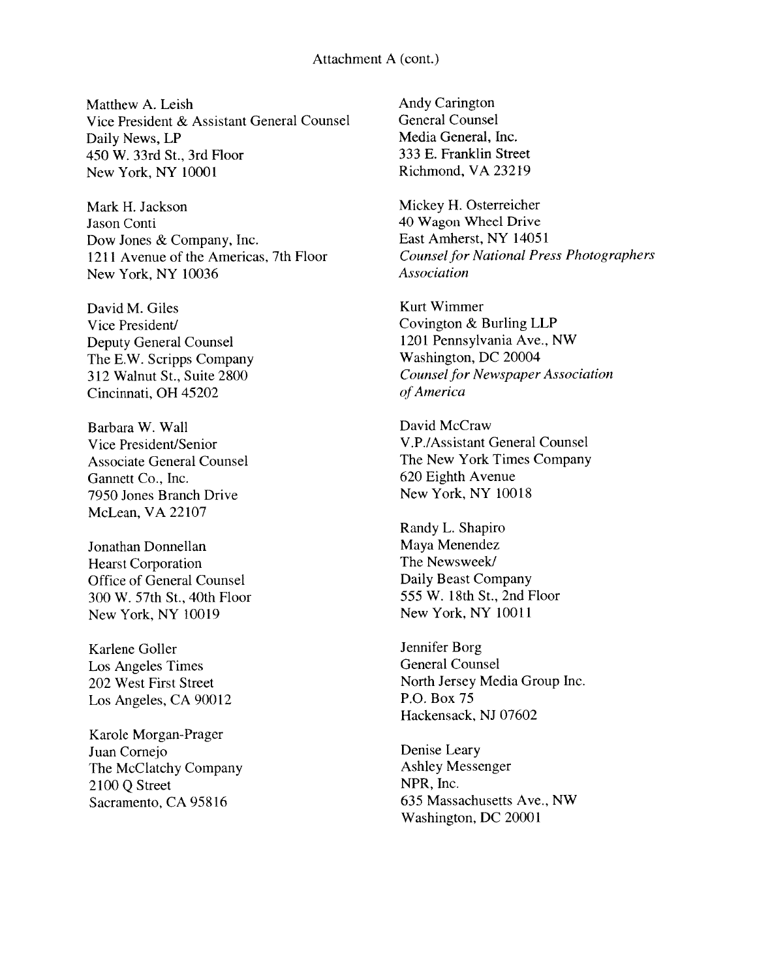### Attachment A (cont.)

Matthew A. Leish Vice President & Assistant General Counsel Daily News, LP 450 \V. 33rd St.. 3rd Floor New York, NY 10001

Mark H. Jackson Jason Conti Dow Jones & Company, Inc. 1211 Avenue of the Americas. 7th Floor New York, NY 10036

David M. Giles Vice President/ Deputy General Counsel The E.W. Scripps Company 312 Walnut St., Suite 2800 Cincinnati, OH 45202

Barbara W. Wall Vice President/Senior Associate General Counsel Gannett Co., Inc. 7950 Jones Branch Drive McLean, VA 22107

Jonathan Donnellan Hearst Corporation Office of General Counsel 300 W. 57th St., 40th Floor New York, NY 10019

Karlene Goller Los Angeles Times 202 West First Street Los Angeles, CA 90012

Karole Morgan-Prager Juan Cornejo The McClatchv Company 2100 Q Street Sacramento, CA 95816

Andy Carington General Counsel Media General. Inc. 333 E. Franklin Street Richmond, VA 23219

Mickey H. Osterreicher 40 Wagon Wheel Drive East Amherst, NY 14051 Counsel for National Press Photographers Association

Kurt Wimmer Covington & Burling LLP 1201 Pennsylvania Ave., NW Washington, DC 20004 **Counsel for Newspaper Association** of America

David McCraw V.P./Assistant General Counsel The New York Times Company 620 Eighth Avenue New York, NY 10018

Randy L. Shapiro Maya Menendez The Newsweek/ Daily Beast Company 555 W. 18th St.. 2nd Floor New York, NY 10011

Jennifer Borg General Counsel North Jersey Media Group Inc. P.O. Box 75 Hackensack. NJ 07602

Denise Leary Ashley Messenger NPR, Inc. 635 Massachusetts Ave., NW Washington, DC 20001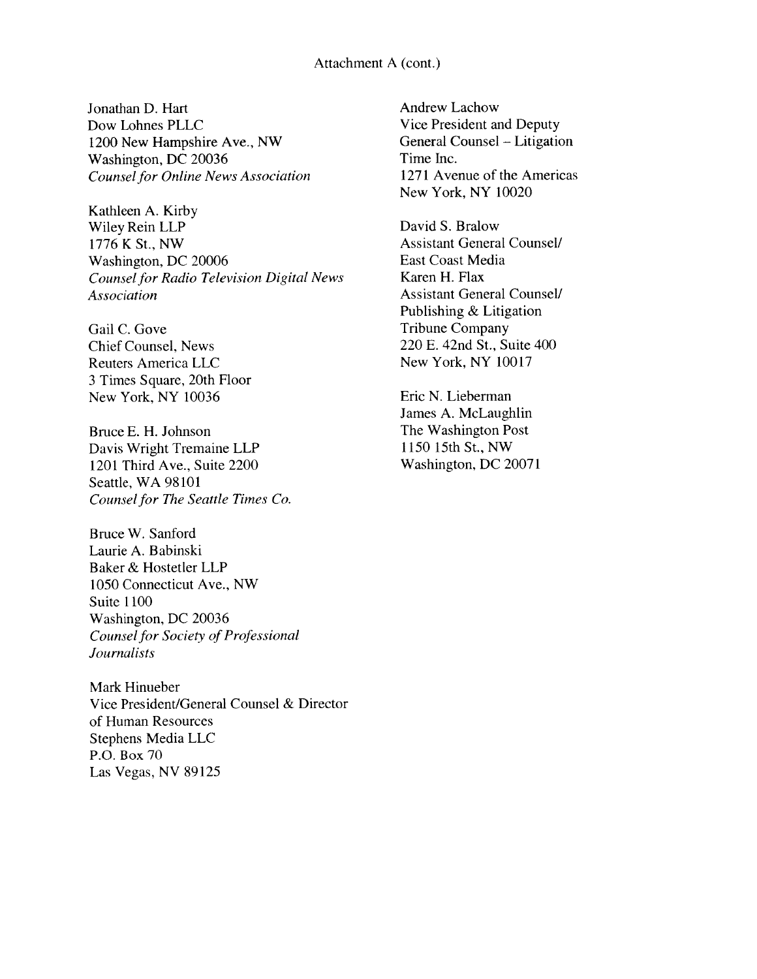### Attachment A (cont.)

Jonathan D. Hart Dow Lohnes PLLC 1200 New Hampshire Ave., NW Washington, DC 20036 Counsel for Online News Association

Kathleen A. Kirby Wiley Rein LLP 1776 K St., NW Washington, DC 20006 Counsel for Radio Television Digital News Association

Gail C. Gove Chief Counsel, News Reuters America LLC <sup>3</sup> Times Square, 20th Floor New York, NY 10036

Bruce E. H, Johnson Davis Wright Tremaine LLP 1201 Third Ave., Suite 2200 Seattle, WA 98101 Counsel for The Seattle Times Co.

Bruce W. Sanford Laurie A. Babinski Baker & Hostetler LLP 1050 Connecticut Ave., NW Suite 1100 Washington, DC 20036 Counsel for Society of Professional Journalists

Mark Hinueber Vice President/General Counsel & Director of Human Resources Stephens Media LLC P.O. Box 70 Las Vegas, NV 89125

Andrew Lachow Vice President and Deputy General Counsel — Litigation Time Inc. 1271 Avenue of the Americas New York, NY 10020

David S. Bralow Assistant General Counsel! East Coast Media Karen H. Flax Assistant General Counsel! Publishing & Litigation Tribune Company 220 E. 42nd St., Suite 400 New York, NY 10017

Eric N. Lieberman James A. McLaughlin The Washington Post 1150 15th St., NW Washington, DC 20071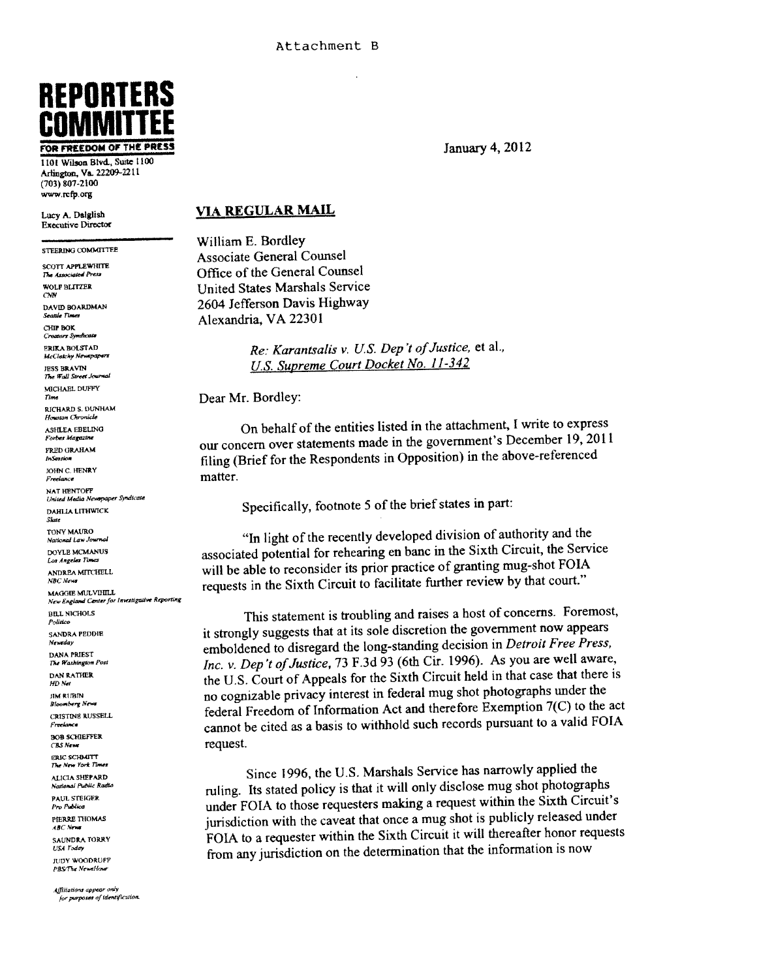# REPORTERS COMMITTEE

1101 Wilson Blvd., Suite 1100 Arlington, Va. 22209-2211 (703) 807-2100 www.rcfp.org

Executive Oircctor

STEERING COMMITTEE SCOTT APPLEWHITE The Associated Press СНІР ВОК Creators Syndi SEJEA BOtSTAD **JESS BRAVIN** The Wall Street Journal MICHAEL DUFFY RICHARI) S. DUNHAM Houston Chronicle ASHLEA EBELING Forbes Magazine FRED GRAHAM InSertion JOHN C. HENRY Freelance NAT HENTOFF United Media Newspaper Syndicate **DAHLIA LITHWICK** TONY MAURO National Law Journal DOYLE MCMANUS **NBC** News MAGGIE MULVIHILL New England Center for Investigative Reporting **BILL NICHOLS** Politici **SANDRA PEDDIE** DAN RATHER HD Net **JIM RUBIN BOB SCHIEFFER CBS** News **ERIC SCHMITT** The New York Times PAUL STEIGER Pro Publica PIERRE THOMAS **JUDY WOODRUFF PBS/The Newaltona** 

## Lucy A. Dalglish VIA REGULAR MAIL

William F. Bordley Associate General Counsel Office of the General Counsel WOLF BLITZER United States Marshals Service DAVID BOARDMAN 2604 Jefferson Davis Highway Alexandria, VA 22301

## **ERIKA BOLSTAD**<br>McClatchy Newspapers<br> $Rec$ : Karantsalis v. U.S. Dep't of Justice, et al., US. Supreme Court Docket No. 11-342

Dear Mr. Bordley:

On behalf of the entities listed in the attachment, <sup>I</sup> write to express our concern over statements made in the government's December 19, <sup>2011</sup> filing (Brief for the Respondents in Opposition) in the above-referenced matter.

Specifically, footnote <sup>5</sup> of the brief states in part:

1n light of the recently developed division of authority and the DOYLE MCMANUS<br>Los Angeles Times<br>Los Angeles Times ANDREA MITCHELL will be able to reconsider its prior practice of granting mug-shot FOIA requests in the Sixth Circuit to facilitate further review by that court."

This statement is troubling and raises <sup>a</sup> host of concerns. Foremost, it strongly suggests that at its sole discretion the governmen<sup>t</sup> now appears Newtalay<br>DANA PRIEST<br>The Washington Post<br>Inc. y. Den't of Justice. 73 F.3d 93 (6th Cir. 1996). As you are well aware Inc. v. Dep't of Justice, 73 F.3d 93 (6th Cir. 1996). As you are well aware, the U.S. Court of Appeals for the Sixth Circuit held in that case that there is no cognizable privacy interest in federal mug shot <sup>p</sup>hotographs under the Bloomberg New CRISTINE RUSSELL federal Freedom of Information Act and therefore Exemption 7(C) to the act cannot be cited as <sup>a</sup> basis to withhold such records pursuan<sup>t</sup> to <sup>a</sup> valid FOJA request.

ALICIA SHEPARD Since 1996, the U.S. Marshals Service has narrowly applied the Neglection of the Marshals Service has narrowly applied the mling. Its stated policy is that it will only disclose mug shot <sup>p</sup>hotographs under FOIA to those requesters making <sup>a</sup> reques<sup>t</sup> within the Sixth Circuit's jurisdiction with the caveat that once <sup>a</sup> mug shot is publicly released under SAUNDRA TORRY JUTISATION WITH THE CLUB THAT CHECK IT HAVE A TO LET THE SAUNDRA TORRY FOIA to a requester within the Sixth Circuit it will thereafter honor requests USA Today from any jurisdiction on the determination that the information is now

FOR FREEDOM OF THE PRESS **FOR THE PRESS** January 4, 2012

Affiliations appear only for purposes of identification.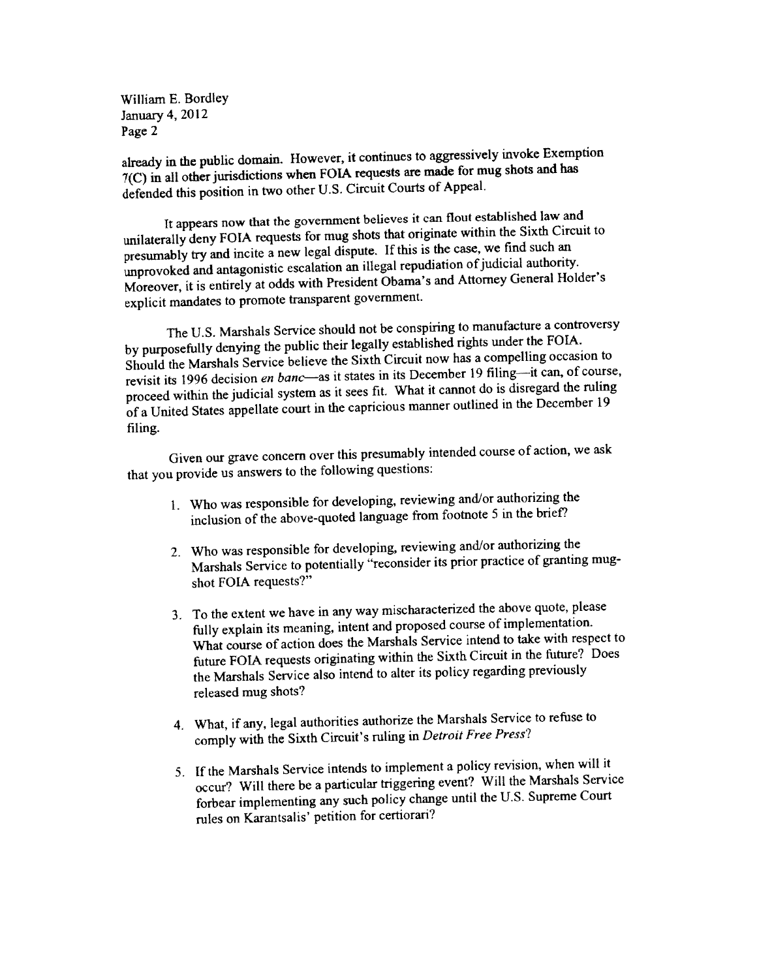William E. Bordley January 4, 2012 Page 2

already in the public domain. However, it continues to aggressively invoke Exemption 7(C) in all other jurisdictions when FOIA requests are made for mug shots and has defended this position in two other U.S. Circuit Courts of Appeal.

It appears now that the governmen<sup>t</sup> believes it can flout established law and unilaterally deny FOIA requests for mug shots that originate within the Sixth Circuit to presumably try and incite <sup>a</sup> new legal dispute. If this is the case, we find such an unprovoked and antagonistic escalation an illegal repudiation of judicial authority. Moreover, it is entirely at odds with President Obama's and Attorney General Holder's explicit mandates to promote transparent government.

The U.S. Marshals Service should not be conspiring to manufacture <sup>a</sup> controversy by purposefully denying the public their legally established rights under the FOIA. Should the Marshals Service believe the Sixth Circuit now has <sup>a</sup> compelling occasion to revisit its 1996 decision en banc—as it states in its December 19 filing—it can, of course, procee<sup>d</sup> within the judicial system as it sees fit. What it cannot do is disregard the ruling of a United States appellate court in the capricious manner outlined in the December 19 filing.

Given our grave concern over this presumably intended course of action, we ask that you provide us answers to the following questions:

- 1. Who was responsible for developing, reviewing and/or authorizing the inclusion of the above-quoted language from footnote <sup>5</sup> in the brief?
- 2. Who was responsible for developing, reviewing and/or authorizing the Marshals Service to potentially "reconsider its prior practice of granting mugshot FOIA requests?"
- 3. To the extent we have in any way mischaracterized the above quote, <sup>p</sup>lease fully explain its meaning, intent and propose<sup>d</sup> course of implementation. What course of action does the Marshals Service intend to take with respec<sup>t</sup> to future FOLA requests originating within the Sixth Circuit in the future? Does the Marshals Service also intend to alter its policy regarding previously released mug shots?
- 4. What, if any, legal authorities authorize the Marshals Service to refuse to comply with the Sixth Circuit's ruling in Detroit Free Press?
- 5. If the Marshals Service intends to implement <sup>a</sup> policy revision, when will it occur? Will there be <sup>a</sup> particular triggering event? Will the Marshals Service forbear implementing any such policy change until the U.S. Supreme Court rules on Karantsalis' petition for certiorari?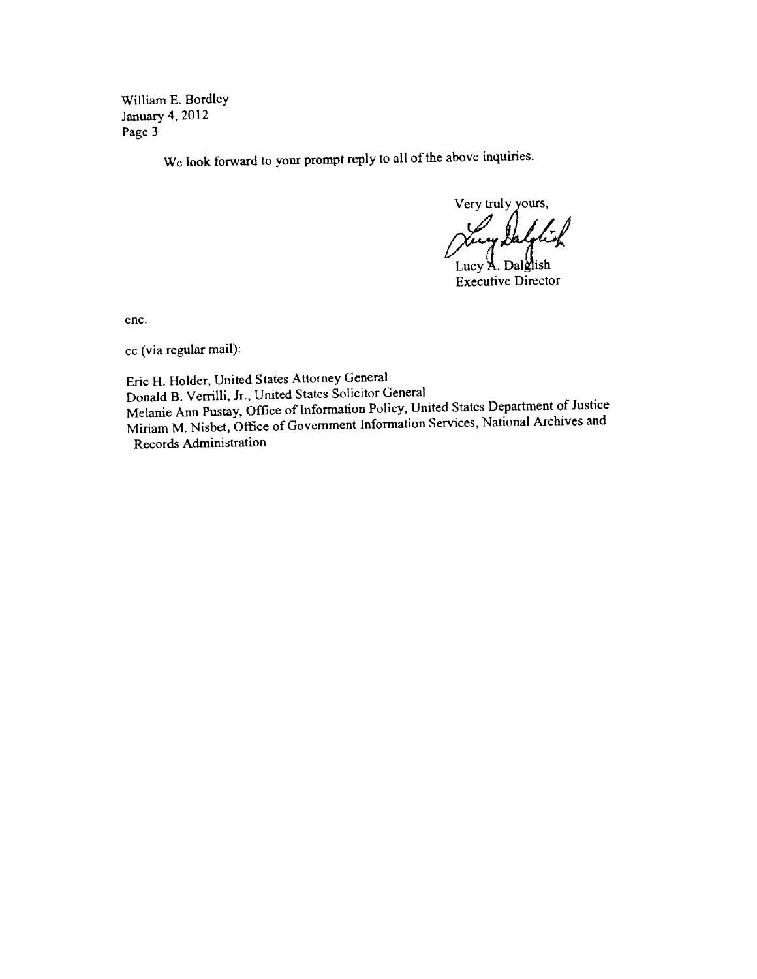William F. Bordley January 4.2012 Page 3

We look forward to your promp<sup>t</sup> reply to all of the above inquiries.

Very truly yours, Vicey

Lucy A. Dalglish Executive Director

enc.

cc (via regular mail):

Eric H. Holder, United States Attorney General Donald B. Verrilli, Jr., United States Solicitor General Melanie Ann Pustay, Office of Information Policy, United States Department of Justice Miriam M. Nisbet, Office of Government Information Services, National Archives and Records Administration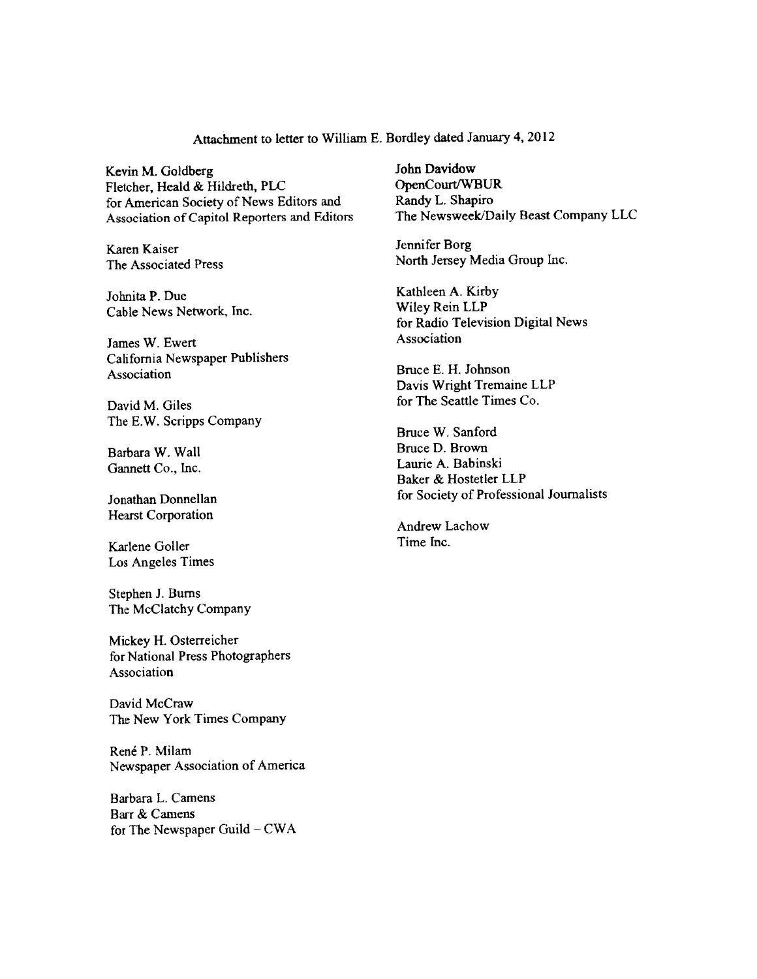Attachment to letter to William E. Bordley dated January 4, 2012

Kevin M. Goldberg John Davidow<br>Fletcher, Heald & Hildreth, PLC OpenCourt/WBUR Fletcher, Heald & Hildreth, PLC OpenCourt/WBUI<br>for American Society of News Editors and Randy L. Shapiro for American Society of News Editors and Randy L. Shapiro<br>Association of Canitol Reporters and Editors The Newsweek/Daily Beast Company LLC Association of Capitol Reporters and Editors

Johnita P. Due<br>
Cable News Network Inc.<br>
Wiley Rein LLP Cable News Network, Inc.

James W. Ewert Association California Newspaper Publishers Association Bruce E. H. Johnson

The E.W. Scripps Company

Gannett Co., Inc.

Hearst Corporation

Karlene Goller Time Inc. Los Angeles Times

Stephen J. Burns The McClatchy Company

Mickey H. Osterreicher for National Press Photographers Association

David McCraw The New York Times Company

René P. Milam Newspaper Association of America

Barbara L. Camens Barr & Camens for The Newspaper Guild  $-CWA$ 

Karen Kaiser **Jennifer Borg** The Associated Press North Jersey Media Group Inc.

for Radio Television Digital News

Davis Wright Tremaine LLP David M. Giles for The Seattle Times Co.

Bruce W. Sanford Barbara W. Wall Bruce D. Brown<br>
Gennett Co. Inc. (1996) Statistics A. Babinski Baker & Hostetler LLP Jonathan Donnellan for Society of Professional Journalists

Andrew Lachow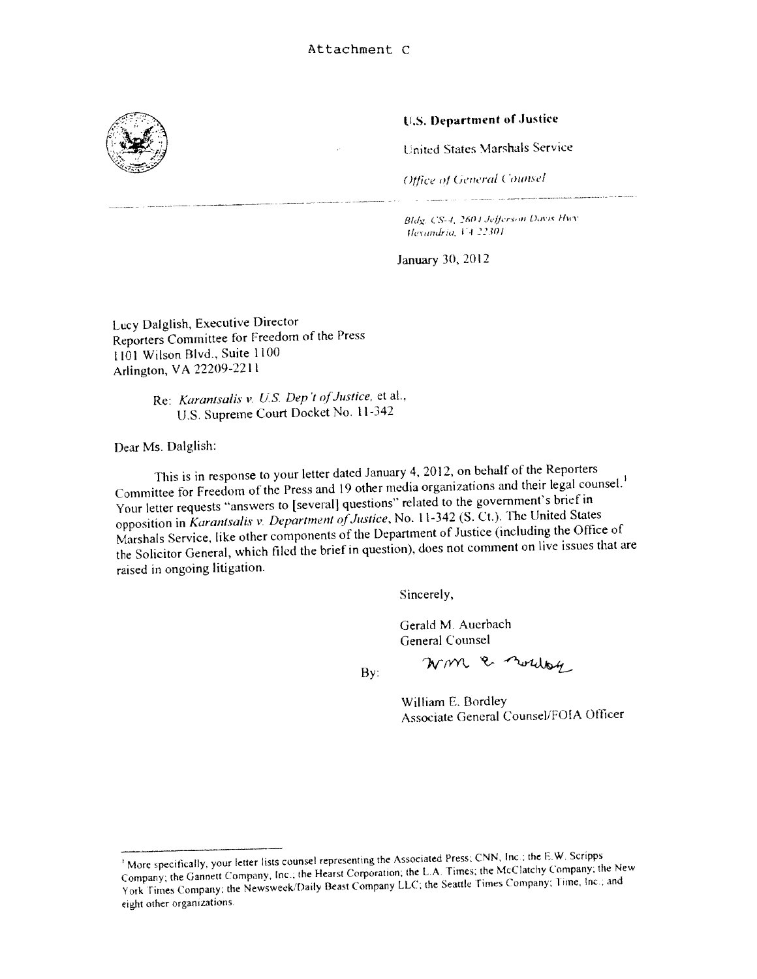

### LS. 1)epartrnent of Justice

United States Marshals Service

(Office of General Counsel)

Bldg. CS-4, 2604 Jefferson Davis Hwy. Hexandria, VA 22301

and the company of the company

January 30. 2012

Lucy Daiglish, Executive Director Reporters Committee for Freedom of the Press 1101 Wilson Blvd.. Suite 1100 Arlington, VA 22209-22 Ii

> Re: Karantsalis v. U.S. Dep't of Justice, et al., U.S. Supreme Court Docket No. <sup>I</sup> 1-342

Dear Ms. Daiglish:

This is in response to your letter dated January 4.2012, on behalf of the Reporters Committee for Freedom of the Press and 19 other media organizations and their legal counsel.<sup>1</sup> Your letter requests "answers to [several] questions" related to the government's brief in opposition in Karantsalis v. Department of Justice, No. 11-342 (S. Ct.). The United States Marshals Service, like other components of the Department of Justice (including the Office of the Solicitor General, which filed the brief in question), does not comment on live issues that are raised in ongoing litigation.

Sincerely,

Gerald M. Auerbach General Counsel

By:

William E. Bordley Associate General Counsel/FOIA Officer

Wm & norday

More specifically, your letter lists counsel representing the Associated Press; CNN, Inc.; the E.W. Scripps Company; the Gannett Company, Inc.; the Hearst Corporation; the L.A. Times; the McClatchy Company; the New York Times Company: the Newsweek/Daily Beast Company LLC; the Seattle Times Company; Time, Inc.; and eight other organizations.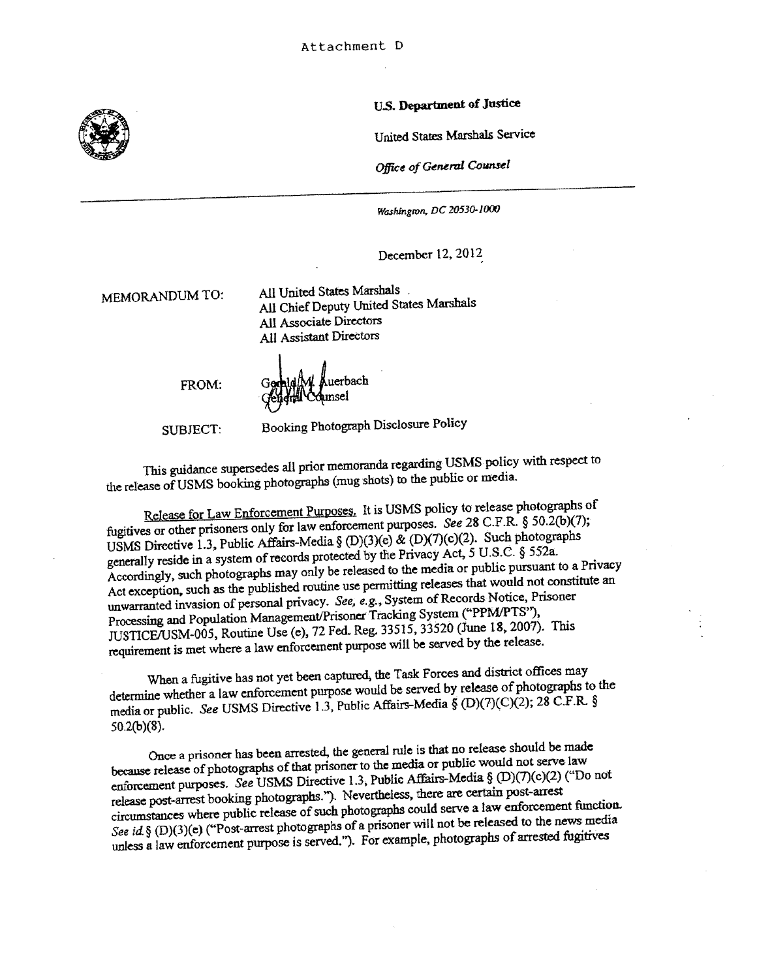

U.S. Department of Justice

United States Marshals Service

Office of General Counsel

Washington, DC 20530-1000

December 12, 2012

MEMORANDUM TO: All United States Marshals All Chief Deputy United States Marshals All Associate Directors All Assistant Directors

FROM:

Auerbach<br>ainsel

SUBJECT: Booking Photograph Disclosure Policy

This guidance supersedes all prior memoranda regarding USMS policy with respec<sup>t</sup> to the release of USMS booking <sup>p</sup>hotographs (mug shots) to the public or media.

Release for Law Enforcement Purposes. It is USMS policy to release photographs of fugitives or other prisoners only for law enforcement purposes. See <sup>28</sup> C.F.R. § 50.2(b)(7); USMS Directive 1.3, Public Affairs-Media § (D)(3)(e) & (D)(7)(c)(2). Such <sup>p</sup>hotographs generally reside in a system of records protected by the Privacy Act, 5 U.S.C. § 552a. Accordingly, such <sup>p</sup>hotographs may only be released to the media or public pursuan<sup>t</sup> to <sup>a</sup> Privacy Act exception, such as the published routine use permitting releases that would not constitute an unwarranted invasion of personal privacy. See, e.g., System of Records Notice, Prisoner Processing and Population Management/Prisoner Tracking System ("PPM/PTS"), JUSTICE/USM-005, Routine Use (e), <sup>72</sup> Fed Reg. 33515, <sup>33520</sup> (June 18, 2007). This requirement is met where <sup>a</sup> law enforcement purpose will be served by the release.

When <sup>a</sup> fugitive has not ye<sup>t</sup> been captured, the Task Forces and district offices may determine whether a law enforcement purpose would be served by release of photographs to the media or public. See USMS Directive 1.3, Public Affairs-Media § (D)(7)(C)(2); 28 C.F.R. § 5O.2(b)(8).

Once <sup>a</sup> prisoner has been arrested, the genera<sup>l</sup> nile is that no release should be made because release of photographs of that prisoner to the media or public would not serve law enforcement purposes. See USMS Directive 1.3, Public Affairs-Media § (D)(7)(c)(2) ("Do not release post-arrest booking <sup>p</sup>hotographs."). Nevertheless, there are certain post-arrest circumstances where public release of such photographs could serve a law enforcement function. See id § (D)(3)(e) ("Post-arrest photographs of a prisoner will not be released to the news media unless a law enforcement purpose is served."). For example, photographs of arrested fugitives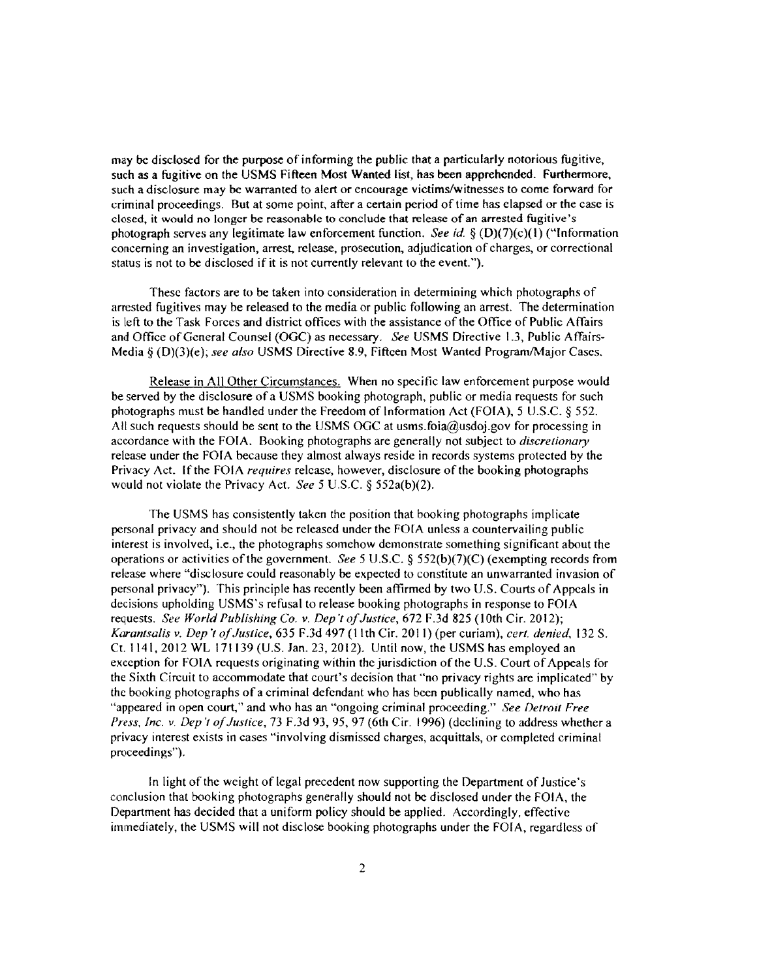may be disclosed for the purpose of informing the public that a particularly notorious fugitive. such as a fugitive on the USMS Fifteen Most Wanted list, has been apprehended. Furthermore, such a disclosure may be warranted to alert or encourage victims/witnesses to come forward for criminal proceedings. But at some point, after a certain period of time has elapsed or the case is closed, it would no longer be reasonable to conclude that release of an arrested fugitive's photograph serves any legitimate law enforcement function. See id.  $\S$  (D)(7)(c)(1) ("Information concerning an investigation, arrest, release, prosecution, adjudication of charges, or correctional status is not to be disclosed if it is not currently relevant to the event.").

These factors are to be taken into consideration in determining which photographs of arrested fugitives may be released to the media or public following an arrest. The determination is left to the Task Forces and district offices with the assistance of the Office of Public Affairs and Office of General Counsel (OGC) as necessary. See USMS Directive 1.3, Public Affairs-Media  $\S$  (D)(3)(e); see also USMS Directive 8.9, Fifteen Most Wanted Program/Major Cases.

Release in All Other Circumstances. When no specific law enforcement purpose would be served by the disclosure of a USMS booking photograph, public or media requests for such photographs must be handled under the Freedom of Information Act (FOIA), <sup>5</sup> U.S.C. § 552. All such requests should be sent to the USMS OGC at usms.foia $a$  used using the processing in accordance with the FOIA. Booking photographs are generally not subject to *discretionary* release under the FOIA because they almost always reside in records systems protected by the Privacy Act. If the FOIA *requires* release, however, disclosure of the booking photographs would not violate the Privacy Act. See 5 U.S.C.  $\S$  552a(b)(2).

The USMS has consistently taken the position that booking photographs implicate personal privacy and should not be released under the FOIA unless a countervailing public interest is involved, i.e., the photographs somehow demonstrate something significant about the operations or activities of the government. See 5 U.S.C. § 552(b)(7)(C) (exempting records from release where "disclosure could reasonably be expected to constitute an unwarranted invasion of personal privacy"). This principle has recently been affirmed by two U.S. Courts of Appeals in decisions upholding USMS's refusal to release booking photographs in response to FOFA requests. See World Publishing Co. v. Dep't of Justice, 672 F.3d 825 (10th Cir. 2012); Karantsalis v. Dep 't of Justice, 635 F.3d 497 (11th Cir. 2011) (per curiam), cert. denied, 132 S. Ct, 1141, 2012 WL 171139 (U.S. Jan. 23, 2012). Until now, the USMS has employed an exception for FOIA requests originating within the jurisdiction of the U.S. Court of Appeals for the Sixth Circuit to accommodate that court's decision that "no privacy rights are implicated" by the booking photographs of <sup>a</sup> criminal defendant who has been publically named, who has "appeared in open court," and who has an "ongoing criminal proceeding." See Detroit Free Press, Inc. v. Dep't of Justice, 73 F.3d 93, 95, 97 (6th Cir. 1996) (declining to address whether a privacy interest exists in cases "involving dismissed charges, acquittals, or completed criminal proceedings").

In light of the weight of legal precedent now supporting the Department of Justice's conclusion that booking photographs generally should not be disclosed under the FOIA. the Department has decided that a uniform policy should be applied. Accordingly, effective immediately, the USMS will not disclose booking photographs under the FOIA, regardless of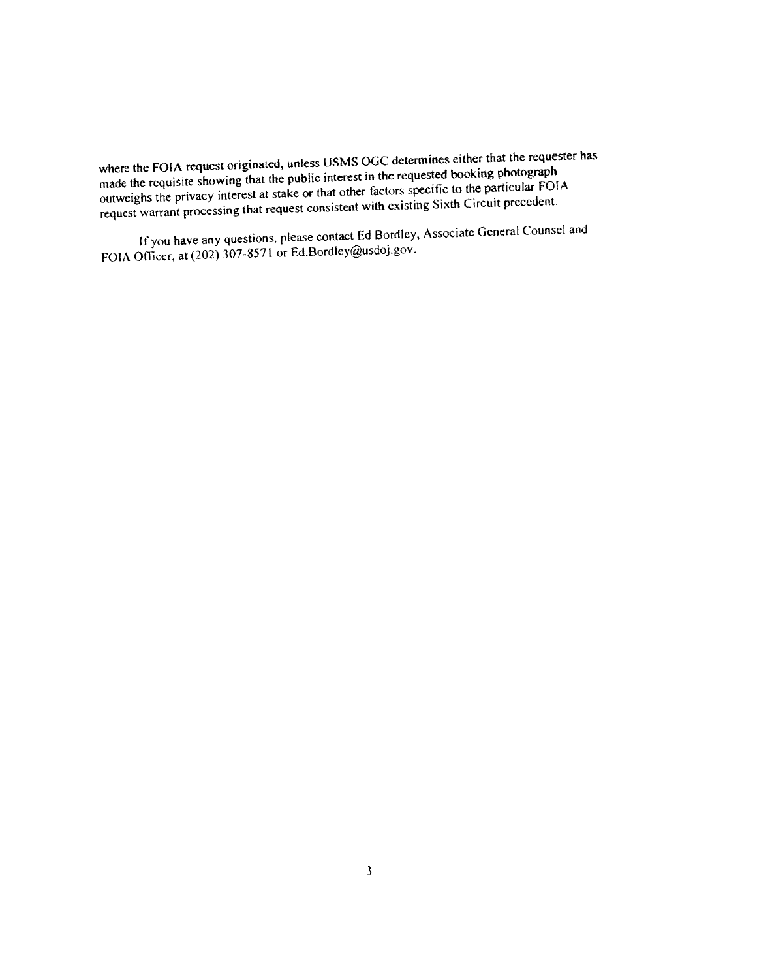where the FOIA request originated, unless USMS OGC determines either that the requester has made the requisite showing that the public interest in the requested booking <sup>p</sup>hotograp<sup>h</sup> outweighs the privacy interest at stake or that other factors specific to the particular FOIA reques<sup>t</sup> warrant processing that reques<sup>t</sup> consistent with existing Sixth Circuit precedent.

If you have any questions, please contact Ed Bordley, Associate General Counsel and FOIA Officer, at (202) 307-8571 or Ed.Bordley@usdoj.gov.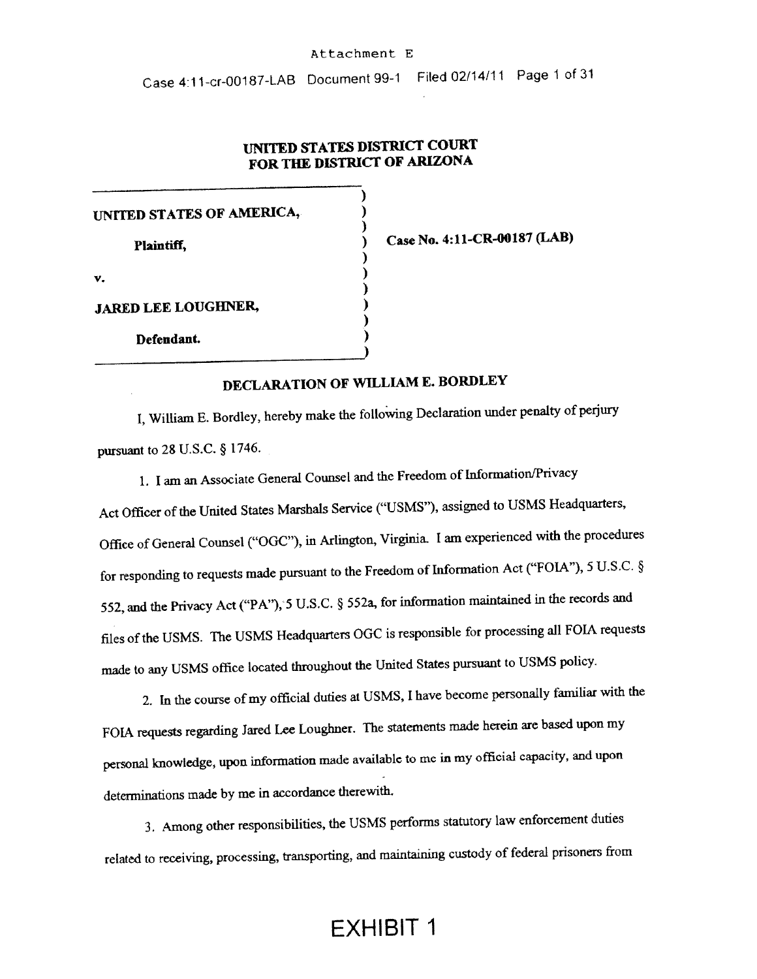#### Attachment E

Case <sup>41</sup> 1-cr-00187-LAB Document 99-1 Filed 02/14111 Page <sup>1</sup> of <sup>31</sup>

## UNITED STATES DISTRICT COURT FOR THE DISTRICT OF ARIZONA

)

)<br>)

)

)

)

UNITED STATES OF AMERICA, Plaintiff,  $\overrightarrow{O}$  Case No. 4:11-CR-00187 (LAB)  $\mathsf{v}_\star$  ) and the set of  $\mathsf{v}_\star$ JARED LEE LOUGHNER, Defendant.

## DECLARATION OF WILLIAM E. BORDLEY

I, William E. Bordley, hereby make the following Declaration under penalty of perjury pursuan<sup>t</sup> to <sup>28</sup> U.S.C. § 1746.

1. <sup>I</sup> am an Associate General Counsel and the Freedom of Information/Privacy Act Officer of the United States Marshals Service ("USMS"), assigned to USMS Headquarters, Office of General Counsel ("OGC"), in Arlington, Virginia. <sup>I</sup> am experienced with the procedures for responding to requests made pursuan<sup>t</sup> to the Freedom of Information Act ("FOIA"), <sup>5</sup> U.S.C. § 552, and the Privacy Act ("PA"), 5 U.S.C. § 552a, for information maintained in the records and files of the USMS. The USMS Headquarters OGC is responsible for processing all FOIA requests made to any USMS office located throughout the United States pursuan<sup>t</sup> to USMS policy.

2. In the course of my official duties at USMS, I have become personally familiar with the FOIA requests regarding Jared Lee Lougbner. The statements made herein are based upon my persona<sup>l</sup> knowledge, upon information made available to me in my official capacity, and upon determinations made by me in accordance therewith.

3. Among other responsibilities, the USMS performs statutory law enforcement duties related to receiving, processing, transporting, and maintaining custody of federal prisoners from

## EXHIBIT I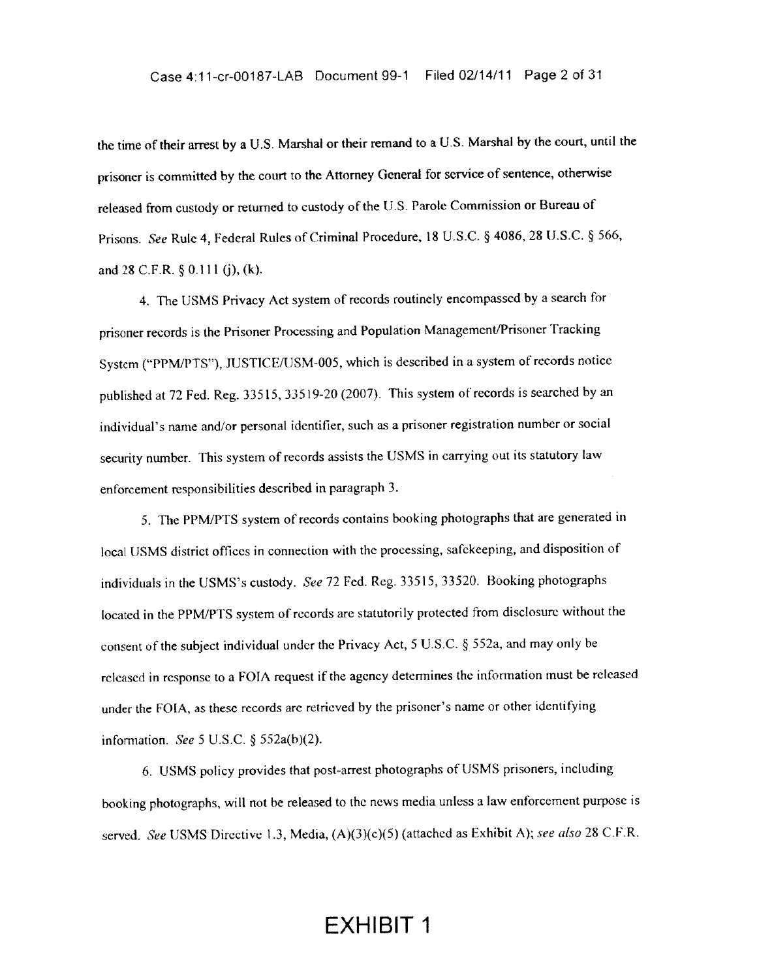the time of their arrest by <sup>a</sup> U.S. Marshal or their remand to <sup>a</sup> U.S. Marshal by the court, until the prisoner is committed by the court to the Attorney General for service of sentence, otherwise released from custody or returned to custody of the U.S. Parole Commission or Bureau of Prisons. See Rule 4, Federal Rules of Criminal Procedure, <sup>18</sup> U.S.C. § 4086,28 U.S.C. § 566, and <sup>28</sup> C.F.R, § 0.111 (j), (k),

4. The USMS Privacy Act system of records routinely encompasse<sup>d</sup> by <sup>a</sup> search for prisoner records is the Prisoner Processing and Population Management/Prisoner Tracking System ("PPM/PTS"), JUSTICE/USM-005, which is described in <sup>a</sup> system of records notice published at <sup>72</sup> Fed. Reg. 33515, 33519-20 (2007). This system of records is searched by an individual's name and/or persona<sup>l</sup> identifier, such as <sup>a</sup> prisoner registration number or social security number. This system of records assists the USMS in carrying out its statutory law enforcement responsibilities described in paragrap<sup>h</sup> 3.

5. The PPM/PTS system of records contains booking photographs that are generated in local tJSMS district offices in connection with the processing, safekeeping, and disposition of individuals in the USMS's custody. See <sup>72</sup> Fed. Reg. 33515, 33520. Booking <sup>p</sup>hotographs located in the PPM/PTS system of records arc statutorily protected from disclosure without the consent of the subject individual under the Privacy Act, <sup>5</sup> U.S.C. § 552a, and may only be released in response to <sup>a</sup> FOIA reques<sup>t</sup> if the agency determines the information must he released under the FOIA. as these records are retrieved by the prisoner's name or other identifying information. See 5 U.S.C.  $\S$  552a(b)(2).

6. USMS policy provides that post-arrest <sup>p</sup>hotographs of USMS prisoners. including booking photographs, will not be released to the news media unless a law enforcement purpose is served. See USMS Directive 1.3, Media,  $(A)(3)(c)(5)$  (attached as Exhibit A); see also 28 C.F.R.

## EXHIBIT 1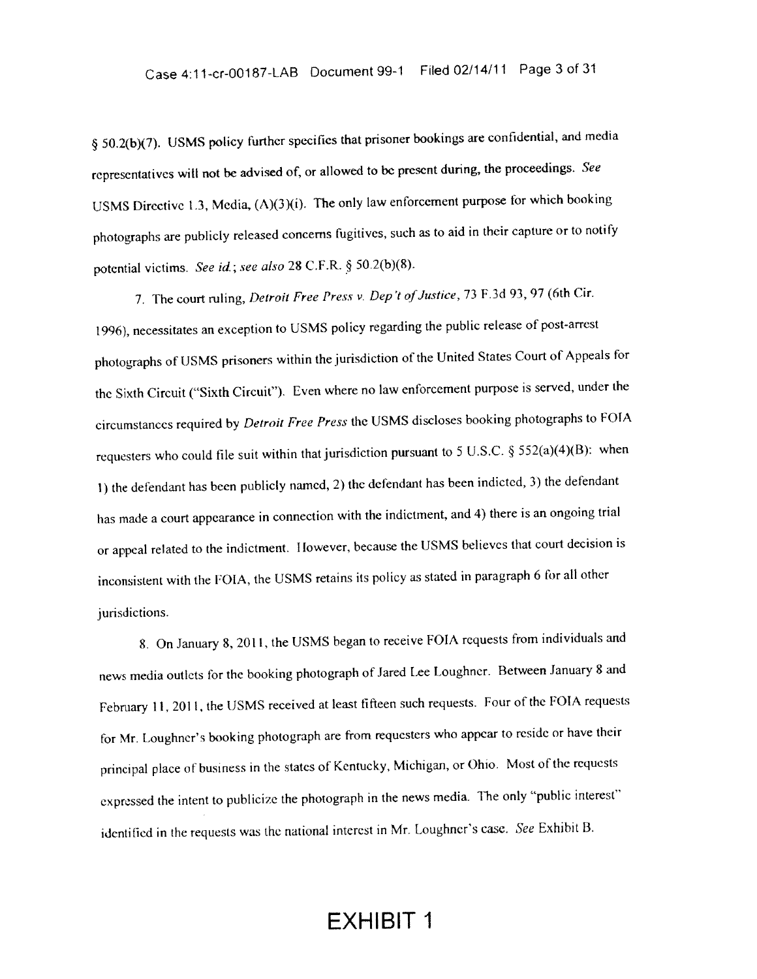§ 50.2(b)(7). USMS policy further specifies that prisoner bookings are confidential, and media representatives will not be advised of, or allowed to be present during, the proceedings. See USMS Directive 1.3, Media, (A)(3)(i). The only law enforcement purpose for which booking <sup>p</sup>hotographs are publicly released concerns fugitives, such as to aid in their capture or to notify potential victims. See id.; see also 28 C.F.R.  $\S$  50.2(b)(8).

7. The court ruling, Detroit Free Press v. Dep't of Justice, 73 F.3d 93, 97 (6th Cir. 1996), necessitates an exception to USMS policy regarding the public release of post-arrest <sup>p</sup>hotographs of USMS prisoners within the jurisdiction of the United States Court of Appeals for the Sixth Circuit ("Sixth Circuit"). Even where no law enforcement purpose is served, under the circumstances required by Detroit Free Press the USMS discloses booking <sup>p</sup>hotographs to FOTA requesters who could file suit within that jurisdiction pursuant to 5 U.S.C. § 552(a)(4)(B): when 1) the defendant has been publicly named, 2) the defendant has been indicted, 3) the defendant has made <sup>a</sup> court appearance in connection with the indictment, and 4) there is an ongoing trial or appea<sup>l</sup> related to the indictment. <sup>I</sup> lowever, because the IJSMS believes that court decision is inconsistent with the FOIA, the USMS retains its policy as stated in paragraph 6 for all other jurisdictions.

8. On January 8,2011, the USMS began to receive FOIA requests from individuals and news media outlets for the booking photograph of Jared Lee Loughner. Between January 8 and February 11, 2011. the IJSMS received at least fifteen such requests. Four of the FOIA requests for Mr. Loughner's booking <sup>p</sup>hotograph are from requesters who appear to reside or have their principal <sup>p</sup>lace of business in the States of Kentucky, Michigan, or Ohio, Most of the requests expressed the intent to publicize the photograph in the news media. The only "public interest" identified in the requests was the national interest in Mr. Loughner's case. See Exhibit B.

## EXHIBIT 1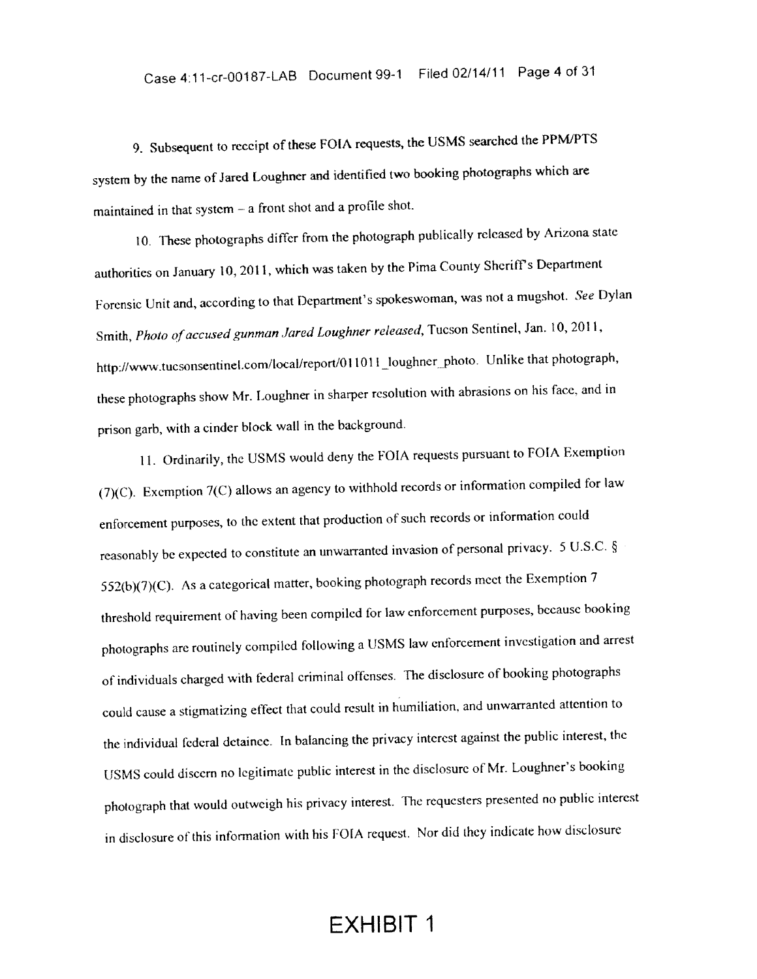9. Subsequent to receipt of these FOIA requests, the USMS searched the PPMJPTS system by the name of Jared Loughner and identified two booking photographs which are maintained in that system  $-$  a front shot and a profile shot.

10, These <sup>p</sup>hotographs differ from the <sup>p</sup>hotograph publically released by Arizona state authorities on January 10, 2011. which was taken by the Pima County Sheriff's Department Forensic Unit and, according to that Department's spokeswoman, was not <sup>a</sup> mugshot. See Dylan Smith, Photo of accused gunman Jared Loughner released, Tucson Sentinel, Jan. 10, 2011, http://www.tucsonsentinel.com/local/report/011011\_loughner\_photo. Unlike that photograph, these <sup>p</sup>hotographs show Mr. 1.oughner in sharper resolution with abrasions on his face, and in prison garb, with <sup>a</sup> cinder block wall in the background.

11. Ordinarily, the USMS would deny the FOIA requests pursuan<sup>t</sup> to FOIA Exemption (7)(C). Exemption 7(C) allows an agency to withhold records or information compiled for law enforcement purposes, to the extent that production of such records or information could reasonably he expected to constitute an unwarranted invasion of persona<sup>l</sup> privacy. <sup>5</sup> U.S.C. §  $552(b)(7)(C)$ . As a categorical matter, booking photograph records meet the Exemption 7 threshold requirement of having been compiled for law enforcement purposes, because booking photographs are routinely compiled following a USMS law enforcement investigation and arrest of individuals charged with federal criminal offenses. The disclosure of booking <sup>p</sup>hotographs could cause <sup>a</sup> stigmatizing effect that could result in humiliation, and unwarranted attention to the individual federal detainee. In balancing the privacy interest against the public interest, the USMS could discern no legitimate public interest in the disclosure of Mr. Loughner's booking <sup>p</sup>hotograph that would outweigh his privacy interest. The requesters presented no public interest in disclosure of this information with his FOFA request. Nor did they indicate how disclosure

## EXHIBIT I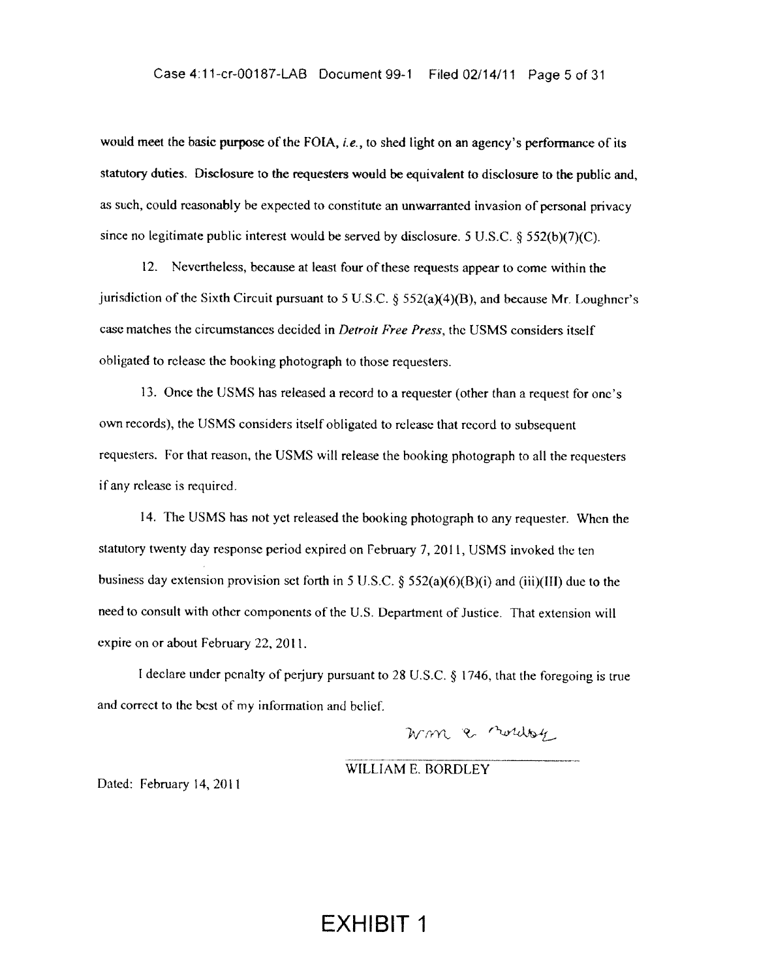would meet the basic purpose of the FOIA, *i.e.*, to shed light on an agency's performance of its statutory duties. Disclosure to the requesters would be equivalent to disclosure to the public and, as such, could reasonably be expected to constitute an unwarranted invasion of personal privacy since no legitimate public interest would be served by disclosure. <sup>5</sup> U.S.C. § 552(b)(7)(C).

12. Nevertheless, because at least four of these requests appear to come within the jurisdiction of the Sixth Circuit pursuant to 5 U.S.C.  $\S$  552(a)(4)(B), and because Mr. Loughner's case matches the circumstances decided in *Detroit Free Press*, the USMS considers itself obligated to release the booking photograph to those requesters.

13. Once the USMS has released a record to a requester (other than a request for one's own records), the USMS considers itself obligated to release that record to subsequent requesters, For that reason, the USMS will release the booking photograph to all the requesters if any release is required.

14. The USMS has not yet released the booking photograph to any requester. When the statutory twenty day response period expired on February 7, 2011, USMS invoked the ten business day extension provision set forth in 5 U.S.C. § 552(a)(6)(B)(i) and (iii)(III) due to the need to consult with other components of the U.S. Department of Justice. That extension will expire on or about February 22, 2011.

I declare under penalty of perjury pursuant to 28 U.S.C. § 1746, that the foregoing is true and correct to the best of my information and belief.

wm & nordog

WILLIAM E. BORDLEY

Dated: February 14, 2011

## EXHIBIT 1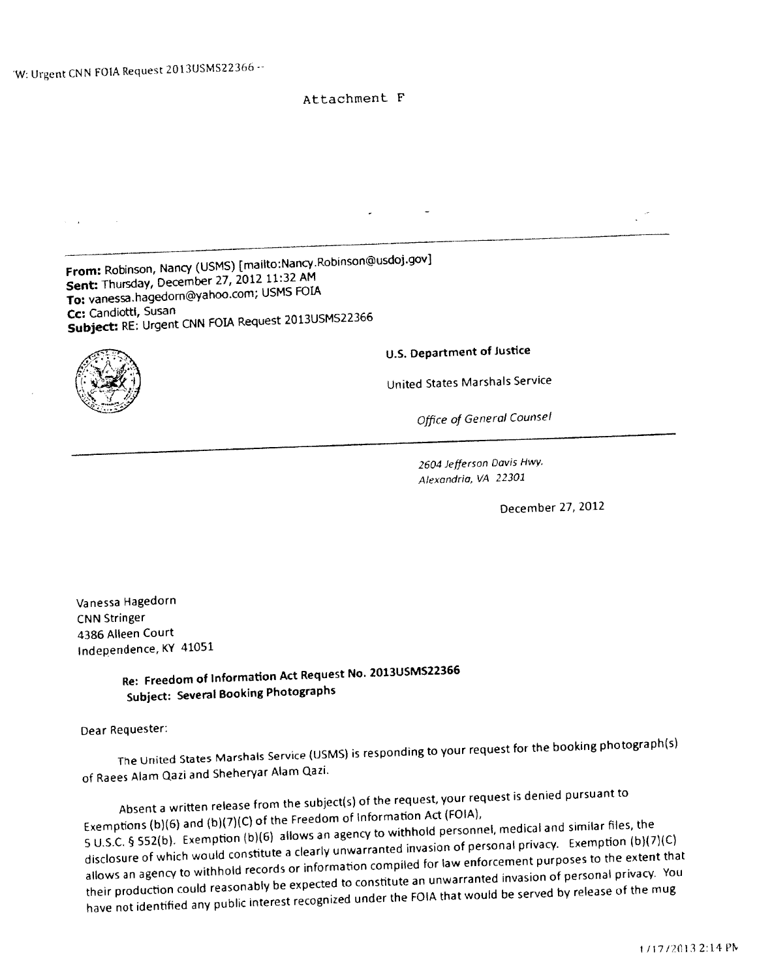### Attachment F

From: Robinson, Nancy (USMS) [mailto:Nancy.Robinson@usdoj.gov] Sent: Thursday, December 27, <sup>2012</sup> 11:32 AM To: vanessahagedom@yahoo.com; USMS FOIA Cc: Candiotti, Susan Subject: RE: Urgent CNN FOLA Request 2013USMS22366 U.S. Department of Justice United States Marshals Service Office of General Counsel 2604 Jefferson Davis Hwy. Alexandria, VA 22301 December 27, 2012

Vanessa Hagedorn CNN Stringer 4386 Alleen Court Independence, KY <sup>41051</sup>

> Re: Freedom of Information Act Request No. 2013USMS22366 Subject: Several Booking Photographs

Dear Requester:

The United States Marshals Service (USMS) is responding to your reques<sup>t</sup> for the booking <sup>p</sup>hotograph(s) of Raees Alam Qazi and Sheheryar Alam Qazi.

Absent <sup>a</sup> written release from the subject(s) of the request, your reques<sup>t</sup> is denied pursuan<sup>t</sup> to Exemptions (b)(6) and (b)(7)(C) of the Freedom of Information Act (FOIA), <sup>S</sup> US.C. § 552(b). Exemption (b)(6) allows an agency to withhold personnel, medical and similar files, the disclosure of which would constitute <sup>a</sup> clearly unwarranted invasion of persona<sup>l</sup> privacy. Exemption (b)(7)(C) allows an agency to withhold records or information compiled for law enforcement purposes to the extent that their production could reasonably be expected to constitute an unwarranted invasion of persona<sup>l</sup> privacy. You have not identified any public interest recognized under the FOIA that would be served by release of the mug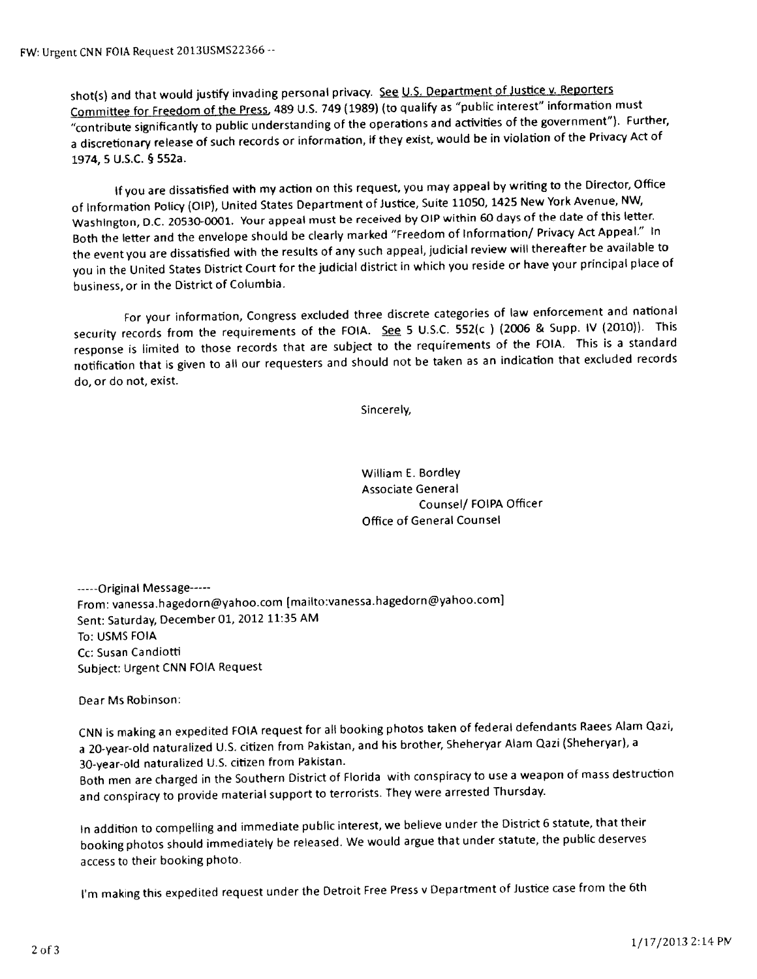shot(s) and that would justify invading personal privacy. See U.S. Department of Justice v. Reporters Committee for Freedom of the Press, 489 U.S. 749 (1989) (to qualify as "public interest" information must "contribute significantly to public understanding of the operations and activities of the governmen<sup>t</sup>"). Further, <sup>a</sup> discretionary release of such records or information, if they exist, would be in violation of the Privacy Act of 1974, <sup>5</sup> U.S.C. § 552a.

If you are dissatisfied with my action on this request, you may appea<sup>l</sup> by writing to the Director, Office of Information Policy (OlP), United States Department of Justice, Suite 11050, <sup>1425</sup> New York Avenue, NW, Washington, D.C. 20530-0001. Your appea<sup>l</sup> must be received by OIP within <sup>60</sup> days of the date of this letter. Both the letter and the envelope should be clearly marked "Freedom of Information/ Privacy Act Appeal." In the event you are dissatisfied with the results of any such appeal, judicial review will thereafter be available to you in the United States District Court for the judicial district in which you reside or have your principal <sup>p</sup>lace of business, or in the District of Columbia.

For your information, Congress excluded three discrete categories of law enforcement and national security records from the requirements of the FOIA. See 5 U.S.C. 552(c) (2006 & Supp. IV (2010)). This response is limited to those records that are subject to the requirements of the FOIA. This is <sup>a</sup> standard notification that is <sup>g</sup>iven to all our requesters and should not be taken as an indication that excluded records do, or do not, exist.

Sincerely,

William E. Bordley Associate General Counsel/ FOIPA Officer Office of General Counsel

-----Original Message-----From: vanessa.hagedorn@yahoo.com [mailto:vanessa.hagedorn@yahoo.com] Sent: Saturday, December 01, <sup>2012</sup> 11:35 AM To: USMS FOIA Cc: Susan Candiotti Subject: Urgent CNN FOJA Request

Dear Ms Robinson:

CNN is making an expedited FOIA reques<sup>t</sup> for all booking <sup>p</sup>hotos taken of federal defendants Raees Alam Qazi, a 20-year-old naturalized U.S. citizen from Pakistan, and his brother, Sheheryar Alam Qazi (Sheheryar), a 30-year-old naturalized U.S. citizen from Pakistan.

Both men are charged in the Southern District of Florida with conspiracy to use <sup>a</sup> weapon of mass destruction and conspiracy to provide material suppor<sup>t</sup> to terrorists. They were arrested Thursday.

In addition to compelling and immediate public interest, we believe under the District <sup>6</sup> statute, that their booking <sup>p</sup>hotos should immediately be released. We would argue that under statute, the public deserves access to their booking photo.

I'm making this expedited reques<sup>t</sup> under the Detroit Free Press <sup>v</sup> Department of Justice case from the 6th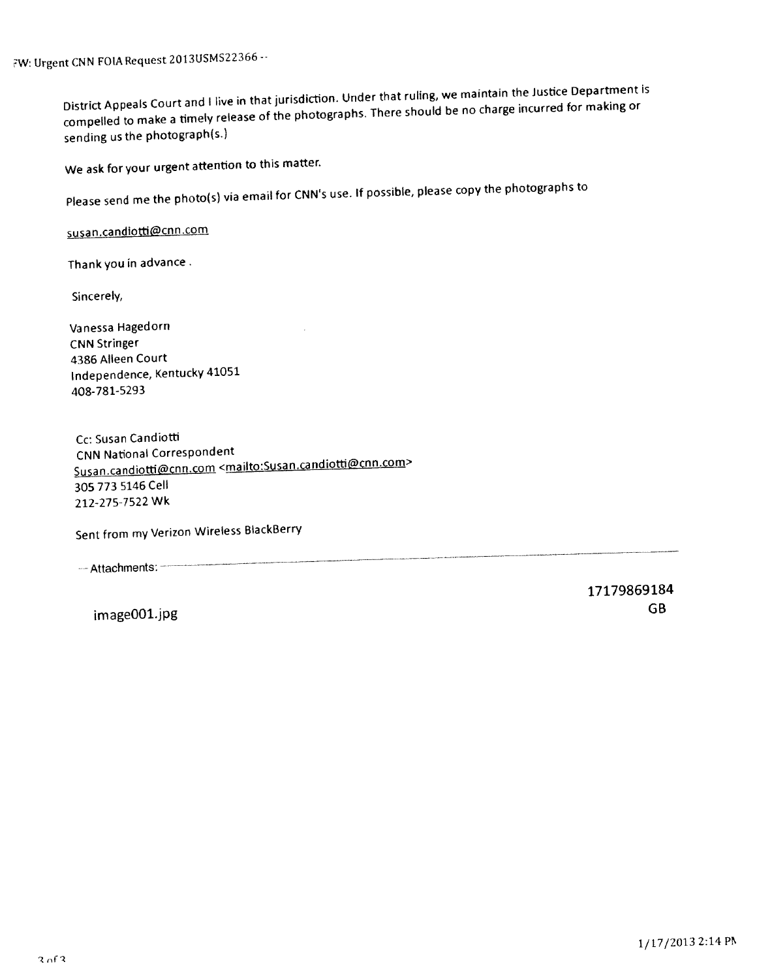Urgent CNN FOIA Request 2013USMS22366

District Appeals Court and <sup>I</sup> live in that jurisdiction. Under that ruling, we maintain the Justice Department is compelled to make <sup>a</sup> timely release of the <sup>p</sup>hotographs. There should be no charge incurred for making or sending us the <sup>p</sup>hotograph(s)

We ask for your urgen<sup>t</sup> attention to this matter.

Please send me the <sup>p</sup>hoto(s) via email for CNN's use. If possible, <sup>p</sup>lease copy the <sup>p</sup>hotographs to

susan.candiotti@cnn.com

Thank you in advance.

Sincerely,

Vanessa Hagedorn CNN Stringer 4386 Alleen Court Independence, Kentucky <sup>41051</sup> 408-781-5293

Cc: Susan Candiotti CNN National Correspondent Susan.candiotti@cnn.com <mailto:Susan.candiotti@cnn.com> 305 773 5146 Cell 212-275-7522 Wk

Sent from my Verizon Wireless BlackBerry

-- Attachments: -

17179869184 image001.jpg GB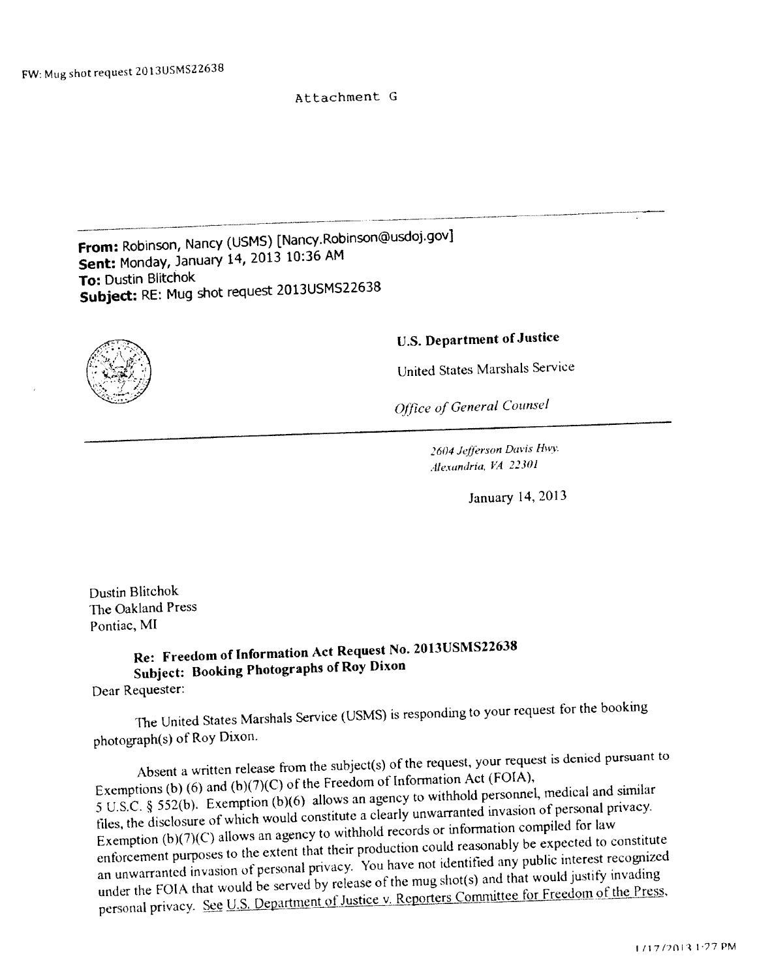## Attachment G

From: Robinson, Nancy (USMS) [Nancy.Robinson@usdoj.gov) Sent: Monday, January 14, <sup>2013</sup> 10:36 AM To: Dustin Blitchok Subject: RE: Mug shot reques<sup>t</sup> 2013USMS22638



## U.S. Department of Justice

United States Marshals Service

Office of General Counsel

2604 Jefferson Davis Hwy. Alexandria, V4 22301

January 14, 2013

Dustin Blitchok The Oakland Press Pontiac, MT

Re: Freedom of Information Act Request No. 2013USMS22638 Subject: Booking Photographs of Roy Dixon Dear Requester:

The United States Marshals Service (USMS) is responding to your reques<sup>t</sup> for the booking photograph(s) of Roy Dixon.

Absent <sup>a</sup> written release from the subject(s) of the request. your reques<sup>t</sup> is denied pursuan<sup>t</sup> to Exemptions (b) (6) and (b)(7)(C) of the Freedom of Information Act (FOIA), <sup>5</sup> LS.C. § 552(b). Exemption (h)(6) allows an agency to withhold personnel, medical and similar tiles, the disclosure of which would constitute <sup>a</sup> clearly unwarranted invasion of personal privacy. Exemption (b)(7)(C) allows an agency to withhold records or information compiled for law enforcement purposes to the extent that their production could reasonably be expected to constitute an unwarranted invasion of personal privacy. You have not identified any public interest recognized under the FOIA that would be served by release of the mug shot(s) and that would justify invading personal privacy. See U.S. Department of Justice v. Reporters Committee for Freedom of the Press,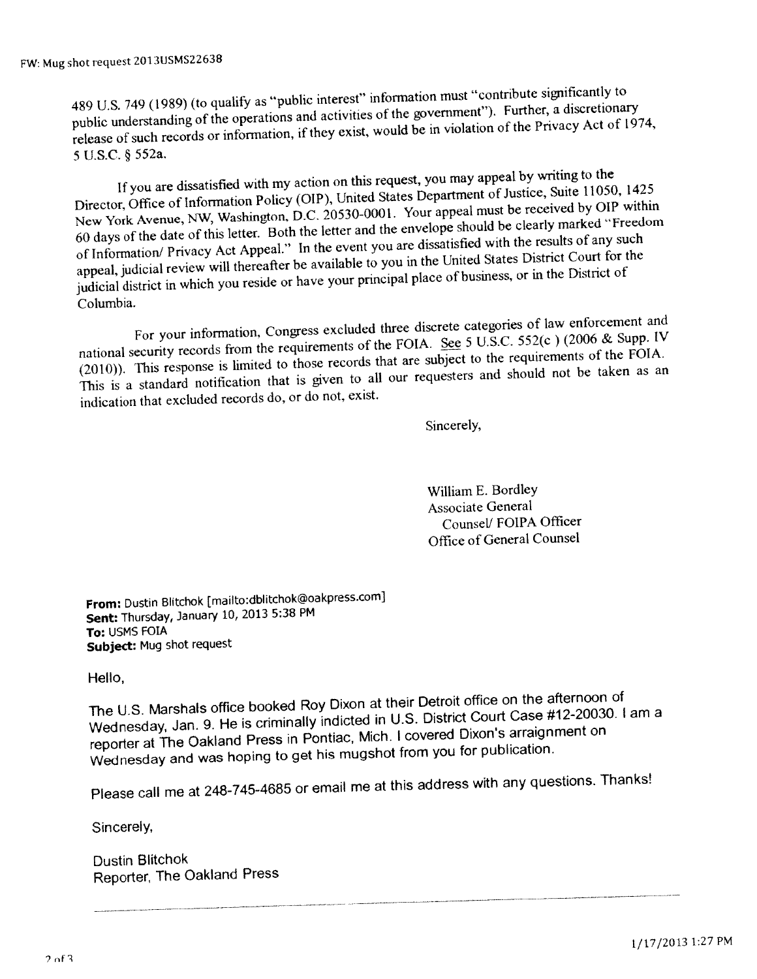489 U.S. 749 (1989) (to qualify as "public interest" information must "contribute significantly to public understanding of the operations and activities of the governmen<sup>t</sup>"). Further, <sup>a</sup> discretionary release of such records or information, if they exist, would be in violation of the Privacy Act of 1974, <sup>5</sup> U.S.C. § 552a,

If you are dissatisfied with my action on this request, you may appea<sup>l</sup> by writing to the Director, Office of Information Policy (OIP), United States Department of Justice, Suite 11050, 1425 New York Avenue, NW, Washington, D.C. 20530-0001. Your appea<sup>l</sup> must be received by OIP within <sup>60</sup> days of the date of this letter. Both the letter and the envelope should be clearly marked "Freedom of Information/ Privacy Act Appeal." In the event you are dissatisfied with the results of any such appeal, judicial review will thereafter be available to you in the United States District Court for the judicial district in which you reside or have your principal <sup>p</sup>lace of business, or in the District of Columbia.

For your information. Congress excluded three discrete categories of law enforcement and national security records from the requirements of the FOIA. See 5 U.S.C. 552(c) (2006 & Supp. IV (2010)). This response is limited to those records that are subject to the requirements of the FOIA. This is <sup>a</sup> standard notification that is <sup>g</sup>iven to all our requesters and should not be taken as an indication that excluded records do, or do not, exist.

Sincerely,

William E. Bordley Associate General Counsel/ FOIPA Officer Office of General Counsel

From: Dustin Blitchok [mailto :dblitchok@oakpress.comj Sent: Thursday, January 10, <sup>2013</sup> 5:38 PM To: USMS FOIA Subject: Mug shot reques<sup>t</sup>

Hello,

The U.S. Marshals office booked Roy Dixon at their Detroit office on the afternoon of Wednesday, Jan. 9. He is criminally indicted in U.S. District Court Case #12-20030. <sup>I</sup> am <sup>a</sup> reporter at The Oakland Press in Pontiac, Mich. <sup>I</sup> covered Dixon's arraignment on Wednesday and was hoping to ge<sup>t</sup> his mugshot from you for publication.

Please call me at 248-745-4685 or email me at this address with any questions. Thanks!

Sincerely,

Dustin Blitchok Reporter, The Oakland Press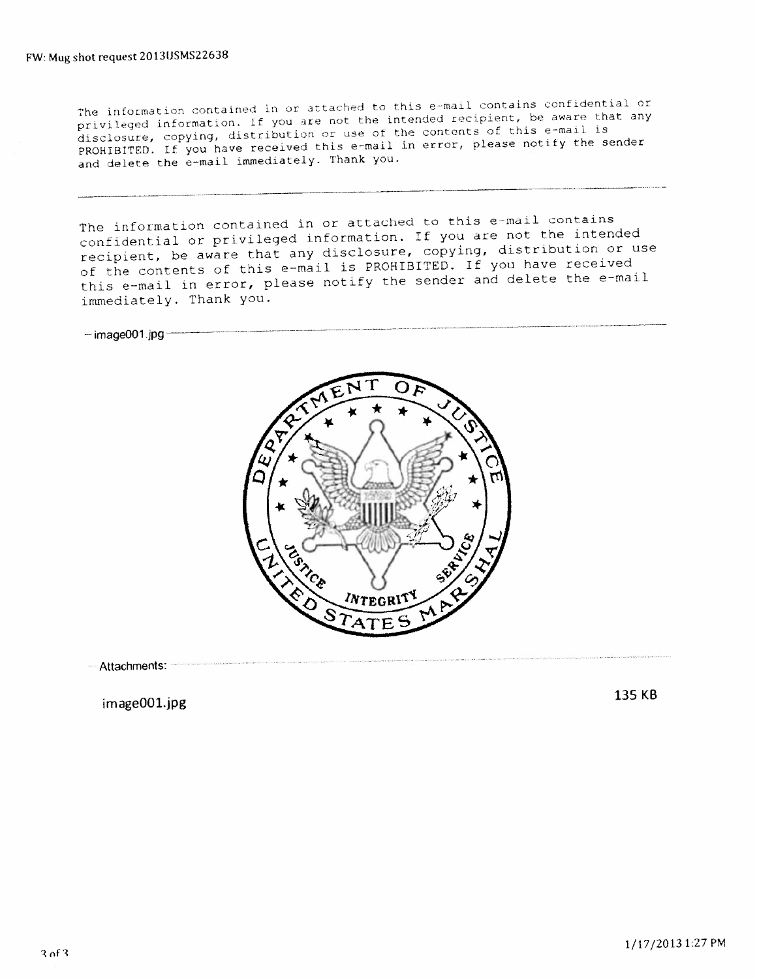ntained in or attached to this e-mail contains confidential or privileged information. If you are not the intended recipient, be aware that any disclosure, copying, distribution or use of the contents of this e-mail is disclosure, copying, distribution of doo of the sender<br>PROHIBITED. If you have received this e-mail in error, please notify the sender<br>and delete the e-mail immediately. Thank you.

The information contained in or attached to this e-mail contains confidential or privileged information. If you are not the intended recipient, be aware that any disclosure, copying, distribution or use of the contents of this e-mail is PROHIBITED. If you have received this e-mail in error, please notify the sender and delete the e-mail immediately. Thank you.

 $-$ image001.jpg $-$ 



Attachments:

mageOOl.jpg <sup>135</sup> KB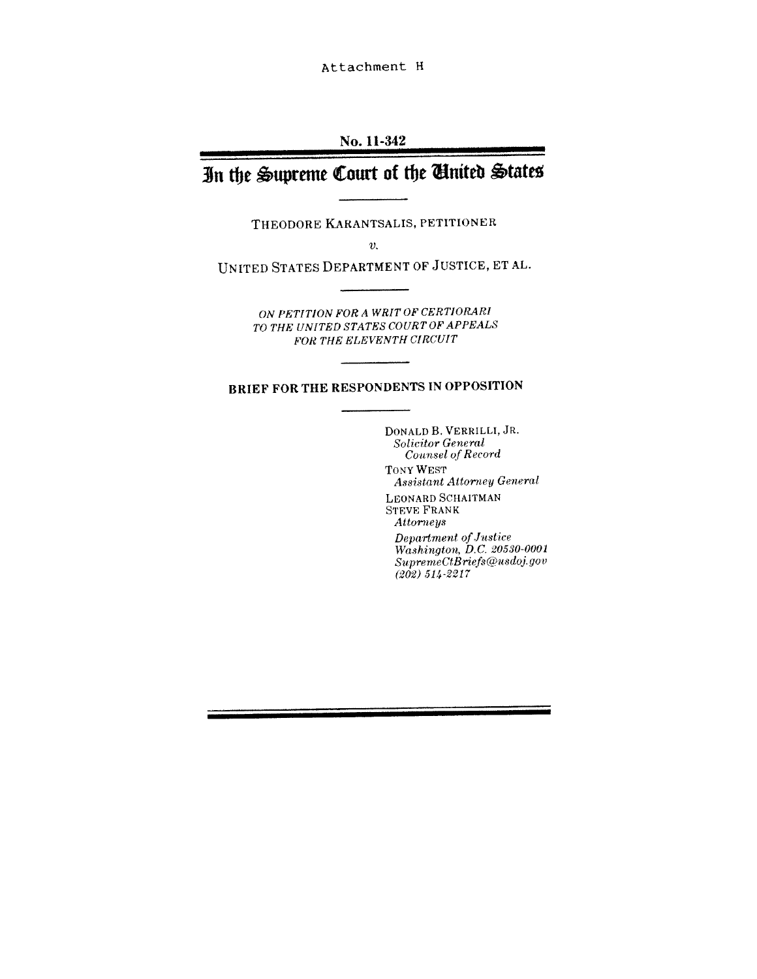Attachment H

### No, 11-342

## In the Supreme Court of the United States

THEoDoRE KARANTsALIs, PETITIONER

 $\overline{v}$ .

UNITED STATES DEPARTMENT OF JUSTICE, ET AL.

ON PETITION FOR A WRIT OF CERTIORARI TO THE UNITED STATES COURT OF APPEALS FOR THE ELEVENTH CIRCUIT

## BRIEF FOR THE RESPONDENTS IN OPPOSITION

DONALD B. VERRILLI, JR. Solicitor General Counsel of Record TONY WEST Assistant Attorney General LEoNARD SCHAITMAN STEVE FRANK **Attorneys**  $Department\ of Justice$ Washington, DC. 20530-0001  $\label{prop:subspace} {\sc SupermeCtBries@usdoj.gov}$ 

(202) 514-2217